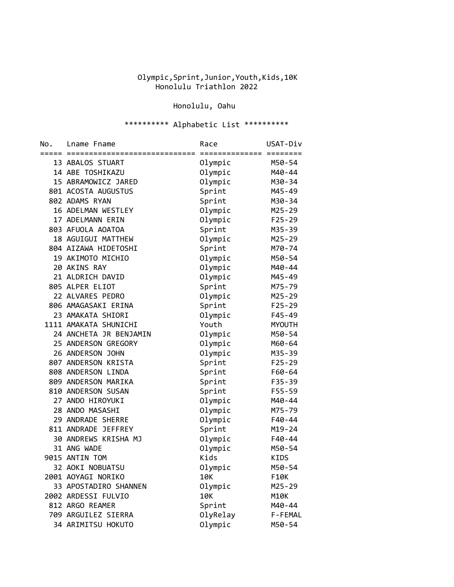## Olympic,Sprint,Junior,Youth,Kids,10K Honolulu Triathlon 2022

## Honolulu, Oahu

## \*\*\*\*\*\*\*\*\*\* Alphabetic List \*\*\*\*\*\*\*\*\*\*

| No. | Lname Fname            | Race                               | USAT-Div      |
|-----|------------------------|------------------------------------|---------------|
|     | 13 ABALOS STUART       | =======================<br>Olympic | M50-54        |
|     | 14 ABE TOSHIKAZU       | Olympic                            | M40-44        |
|     | 15 ABRAMOWICZ JARED    | Olympic                            | M30-34        |
|     | 801 ACOSTA AUGUSTUS    | Sprint                             | M45-49        |
|     | 802 ADAMS RYAN         | Sprint                             | M30-34        |
|     | 16 ADELMAN WESTLEY     | Olympic                            | M25-29        |
|     | 17 ADELMANN ERIN       | Olympic                            | $F25 - 29$    |
|     | 803 AFUOLA AOATOA      | Sprint                             | M35-39        |
|     | 18 AGUIGUI MATTHEW     | Olympic                            | M25-29        |
|     | 804 AIZAWA HIDETOSHI   | Sprint                             | M70-74        |
|     | 19 AKIMOTO MICHIO      | Olympic                            | M50-54        |
|     | 20 AKINS RAY           | Olympic                            | M40-44        |
|     | 21 ALDRICH DAVID       | Olympic                            | M45-49        |
|     | 805 ALPER ELIOT        | Sprint                             | M75-79        |
|     | 22 ALVARES PEDRO       | Olympic                            | M25-29        |
|     | 806 AMAGASAKI ERINA    | Sprint                             | $F25 - 29$    |
|     | 23 AMAKATA SHIORI      | Olympic                            | $F45 - 49$    |
|     | 1111 AMAKATA SHUNICHI  | Youth                              | <b>MYOUTH</b> |
|     | 24 ANCHETA JR BENJAMIN | Olympic                            | M50-54        |
|     | 25 ANDERSON GREGORY    | Olympic                            | M60-64        |
|     | 26 ANDERSON JOHN       | Olympic                            | M35-39        |
|     | 807 ANDERSON KRISTA    | Sprint                             | $F25 - 29$    |
|     | 808 ANDERSON LINDA     | Sprint                             | F60-64        |
|     | 809 ANDERSON MARIKA    | Sprint                             | F35-39        |
|     | 810 ANDERSON SUSAN     | Sprint                             | F55-59        |
|     | 27 ANDO HIROYUKI       | Olympic                            | M40-44        |
|     | 28 ANDO MASASHI        | Olympic                            | M75-79        |
|     | 29 ANDRADE SHERRE      | Olympic                            | F40-44        |
|     | 811 ANDRADE JEFFREY    | Sprint                             | $M19 - 24$    |
|     | 30 ANDREWS KRISHA MJ   | Olympic                            | F40-44        |
|     | 31 ANG WADE            | Olympic                            | M50-54        |
|     | 9015 ANTIN TOM         | Kids                               | KIDS          |
|     | 32 AOKI NOBUATSU       | Olympic                            | M50-54        |
|     | 2001 AOYAGI NORIKO     | 10K                                | F10K          |
|     | 33 APOSTADIRO SHANNEN  | Olympic                            | M25-29        |
|     | 2002 ARDESSI FULVIO    | 10K                                | M10K          |
|     | 812 ARGO REAMER        | Sprint                             | M40-44        |
|     | 709 ARGUILEZ SIERRA    | OlyRelay                           | F-FEMAL       |
|     | 34 ARIMITSU HOKUTO     | Olympic                            | M50-54        |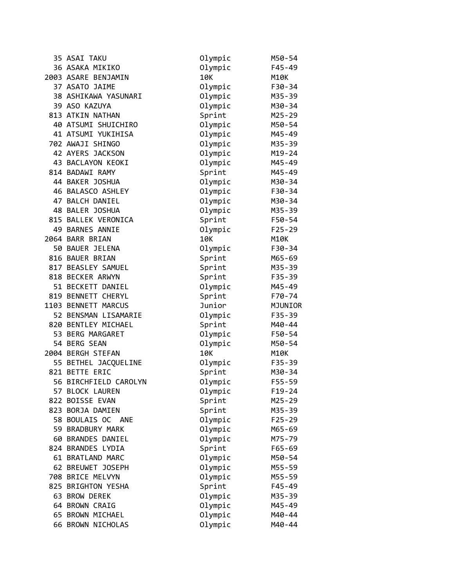| 35 ASAI TAKU          | Olympic | M50-54      |
|-----------------------|---------|-------------|
| 36 ASAKA MIKIKO       | Olympic | $F45 - 49$  |
| 2003 ASARE BENJAMIN   | 10K     | <b>M10K</b> |
| 37 ASATO JAIME        | Olympic | F30-34      |
| 38 ASHIKAWA YASUNARI  | Olympic | M35-39      |
| 39 ASO KAZUYA         | Olympic | M30-34      |
| 813 ATKIN NATHAN      | Sprint  | M25-29      |
| 40 ATSUMI SHUICHIRO   | Olympic | M50-54      |
| 41 ATSUMI YUKIHISA    | Olympic | M45-49      |
| 702 AWAJI SHINGO      | Olympic | M35-39      |
| 42 AYERS JACKSON      | Olympic | $M19 - 24$  |
| 43 BACLAYON KEOKI     | Olympic | M45-49      |
| 814 BADAWI RAMY       | Sprint  | M45-49      |
| 44 BAKER JOSHUA       | Olympic | M30-34      |
| 46 BALASCO ASHLEY     | Olympic | F30-34      |
| 47 BALCH DANIEL       | Olympic | M30-34      |
| 48 BALER JOSHUA       | Olympic | M35-39      |
| 815 BALLEK VERONICA   | Sprint  | F50-54      |
| 49 BARNES ANNIE       | Olympic | $F25 - 29$  |
| 2064 BARR BRIAN       | 10K     | M10K        |
| 50 BAUER JELENA       | Olympic | F30-34      |
| 816 BAUER BRIAN       | Sprint  | M65-69      |
| 817 BEASLEY SAMUEL    | Sprint  | M35-39      |
| 818 BECKER ARWYN      | Sprint  | $F35 - 39$  |
| 51 BECKETT DANIEL     | Olympic | M45-49      |
| 819 BENNETT CHERYL    | Sprint  | F70-74      |
| 1103 BENNETT MARCUS   | Junior  | MJUNIOR     |
| 52 BENSMAN LISAMARIE  | Olympic | F35-39      |
| 820 BENTLEY MICHAEL   | Sprint  | M40-44      |
| 53 BERG MARGARET      | Olympic | F50-54      |
| 54 BERG SEAN          | Olympic | M50-54      |
| 2004 BERGH STEFAN     | 10K     | M10K        |
| 55 BETHEL JACQUELINE  | Olympic | $F35 - 39$  |
| 821 BETTE ERIC        | Sprint  | M30-34      |
| 56 BIRCHFIELD CAROLYN | Olympic | F55-59      |
| 57 BLOCK LAUREN       | Olympic | $F19 - 24$  |
| 822 BOISSE EVAN       | Sprint  | $M25 - 29$  |
| 823 BORJA DAMIEN      | Sprint  | M35-39      |
| 58 BOULAIS OC ANE     | Olympic | $F25 - 29$  |
| 59 BRADBURY MARK      | Olympic | M65-69      |
| 60 BRANDES DANIEL     | Olympic | M75-79      |
| 824 BRANDES LYDIA     | Sprint  | $F65 - 69$  |
| 61 BRATLAND MARC      | Olympic | M50-54      |
| 62 BREUWET JOSEPH     | Olympic | M55-59      |
| 708 BRICE MELVYN      | Olympic | M55-59      |
| 825 BRIGHTON YESHA    | Sprint  | $F45 - 49$  |
| 63 BROW DEREK         | Olympic | M35-39      |
| 64 BROWN CRAIG        | Olympic | M45-49      |
| 65 BROWN MICHAEL      | Olympic | M40-44      |
| 66 BROWN NICHOLAS     | Olympic | M40-44      |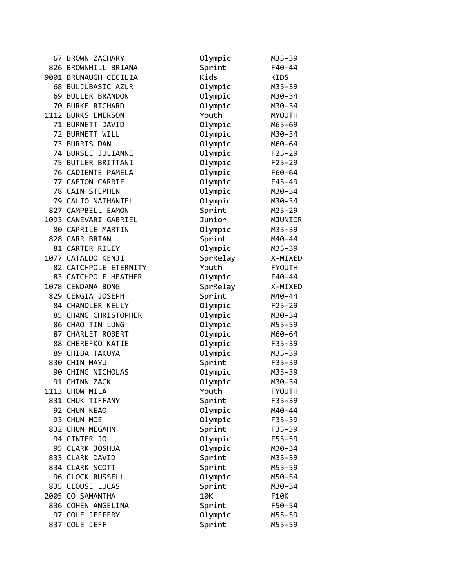| 67 BROWN ZACHARY      | Olympic  | M35-39        |
|-----------------------|----------|---------------|
| 826 BROWNHILL BRIANA  | Sprint   | $F40 - 44$    |
| 9001 BRUNAUGH CECILIA | Kids     | KIDS          |
| 68 BULJUBASIC AZUR    | Olympic  | M35-39        |
| 69 BULLER BRANDON     | Olympic  | M30-34        |
| 70 BURKE RICHARD      | Olympic  | M30-34        |
| 1112 BURKS EMERSON    | Youth    | <b>MYOUTH</b> |
| 71 BURNETT DAVID      | Olympic  | M65-69        |
| 72 BURNETT WILL       | Olympic  | M30-34        |
| 73 BURRIS DAN         | Olympic  | M60-64        |
| 74 BURSEE JULIANNE    | Olympic  | $F25 - 29$    |
| 75 BUTLER BRITTANI    | Olympic  | $F25 - 29$    |
| 76 CADIENTE PAMELA    | Olympic  | F60-64        |
| 77 CAETON CARRIE      | Olympic  | $F45 - 49$    |
| 78 CAIN STEPHEN       | Olympic  | M30-34        |
| 79 CALIO NATHANIEL    | Olympic  | M30-34        |
| 827 CAMPBELL EAMON    | Sprint   | M25-29        |
| 1093 CANEVARI GABRIEL | Junior   | MJUNIOR       |
| 80 CAPRILE MARTIN     | Olympic  | M35-39        |
| 828 CARR BRIAN        | Sprint   | M40-44        |
| 81 CARTER RILEY       | Olympic  | M35-39        |
| 1077 CATALDO KENJI    | SprRelay | X-MIXED       |
| 82 CATCHPOLE ETERNITY | Youth    | <b>FYOUTH</b> |
| 83 CATCHPOLE HEATHER  | Olympic  | F40-44        |
| 1078 CENDANA BONG     | SprRelay | X-MIXED       |
| 829 CENGIA JOSEPH     | Sprint   | M40-44        |
| 84 CHANDLER KELLY     | Olympic  | $F25 - 29$    |
| 85 CHANG CHRISTOPHER  | Olympic  | M30-34        |
| 86 CHAO TIN LUNG      | Olympic  | M55-59        |
| 87 CHARLET ROBERT     | Olympic  | M60-64        |
| 88 CHEREFKO KATIE     | Olympic  | F35-39        |
| 89 CHIBA TAKUYA       | Olympic  | M35-39        |
| 830 CHIN MAYU         | Sprint   | $F35 - 39$    |
| 90 CHING NICHOLAS     | Olympic  | M35-39        |
| 91 CHINN ZACK         | Olympic  | M30-34        |
| 1113 CHOW MILA        | Youth    | <b>FYOUTH</b> |
| 831 CHUK TIFFANY      | Sprint   | $F35 - 39$    |
| 92 CHUN KEAO          | Olympic  | M40-44        |
| 93 CHUN MOE           | Olympic  | F35-39        |
| 832 CHUN MEGAHN       | Sprint   | F35-39        |
| 94 CINTER JO          | Olympic  | F55-59        |
| 95 CLARK JOSHUA       | Olympic  | M30-34        |
| 833 CLARK DAVID       | Sprint   | M35-39        |
| 834 CLARK SCOTT       | Sprint   | M55-59        |
| 96 CLOCK RUSSELL      | Olympic  | M50-54        |
| 835 CLOUSE LUCAS      | Sprint   | M30-34        |
| 2005 CO SAMANTHA      | 10K      | F10K          |
| 836 COHEN ANGELINA    | Sprint   | F50-54        |
| 97 COLE JEFFERY       | Olympic  | M55-59        |
| 837 COLE JEFF         | Sprint   | M55-59        |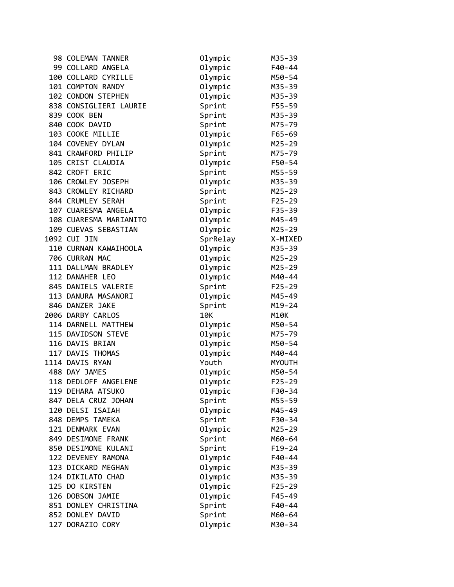| 98 COLEMAN TANNER      | Olympic  | M35-39     |
|------------------------|----------|------------|
| 99 COLLARD ANGELA      | Olympic  | F40-44     |
| 100 COLLARD CYRILLE    | Olympic  | M50-54     |
| 101 COMPTON RANDY      | Olympic  | M35-39     |
| 102 CONDON STEPHEN     | Olympic  | M35-39     |
| 838 CONSIGLIERI LAURIE | Sprint   | F55-59     |
| 839 COOK BEN           | Sprint   | M35-39     |
| 840 COOK DAVID         | Sprint   | M75-79     |
| 103 COOKE MILLIE       | Olympic  | $F65 - 69$ |
| 104 COVENEY DYLAN      | Olympic  | M25-29     |
| 841 CRAWFORD PHILIP    | Sprint   | M75-79     |
| 105 CRIST CLAUDIA      | Olympic  | F50-54     |
| 842 CROFT ERIC         | Sprint   | M55-59     |
| 106 CROWLEY JOSEPH     | Olympic  | M35-39     |
| 843 CROWLEY RICHARD    | Sprint   | M25-29     |
| 844 CRUMLEY SERAH      | Sprint   | $F25 - 29$ |
| 107 CUARESMA ANGELA    | Olympic  | $F35 - 39$ |
| 108 CUARESMA MARIANITO | Olympic  | M45-49     |
| 109 CUEVAS SEBASTIAN   | Olympic  | M25-29     |
| 1092 CUI JIN           | SprRelay | X-MIXED    |
| 110 CURNAN KAWAIHOOLA  | Olympic  | M35-39     |
| 706 CURRAN MAC         | Olympic  | M25-29     |
| 111 DALLMAN BRADLEY    | Olympic  | M25-29     |
| 112 DANAHER LEO        | Olympic  | M40-44     |
| 845 DANIELS VALERIE    | Sprint   | $F25 - 29$ |
| 113 DANURA MASANORI    | Olympic  | M45-49     |
| 846 DANZER JAKE        | Sprint   | $M19 - 24$ |
| 2006 DARBY CARLOS      | 10K      | M10K       |
| 114 DARNELL MATTHEW    | Olympic  | M50-54     |
| 115 DAVIDSON STEVE     | Olympic  | M75-79     |
| 116 DAVIS BRIAN        | Olympic  | M50-54     |
| 117 DAVIS THOMAS       | Olympic  | M40-44     |
| 1114 DAVIS RYAN        | Youth    | MYOUTH     |
| 488 DAY JAMES          | Olympic  | M50-54     |
| 118 DEDLOFF ANGELENE   | Olympic  | $F25 - 29$ |
| 119 DEHARA ATSUKO      | Olympic  | F30-34     |
| 847 DELA CRUZ JOHAN    | Sprint   | M55-59     |
| 120 DELSI ISAIAH       | Olympic  | M45-49     |
| 848 DEMPS TAMEKA       | Sprint   | F30-34     |
| 121 DENMARK EVAN       | Olympic  | M25-29     |
| 849 DESIMONE FRANK     | Sprint   | M60-64     |
| 850 DESIMONE KULANI    | Sprint   | $F19-24$   |
| 122 DEVENEY RAMONA     | Olympic  | F40-44     |
| 123 DICKARD MEGHAN     | Olympic  | M35-39     |
| 124 DIKILATO CHAD      | Olympic  | M35-39     |
| 125 DO KIRSTEN         | Olympic  | $F25 - 29$ |
| 126 DOBSON JAMIE       | Olympic  | $F45 - 49$ |
| 851 DONLEY CHRISTINA   | Sprint   | F40-44     |
| 852 DONLEY DAVID       | Sprint   | M60-64     |
| 127 DORAZIO CORY       | Olympic  | M30-34     |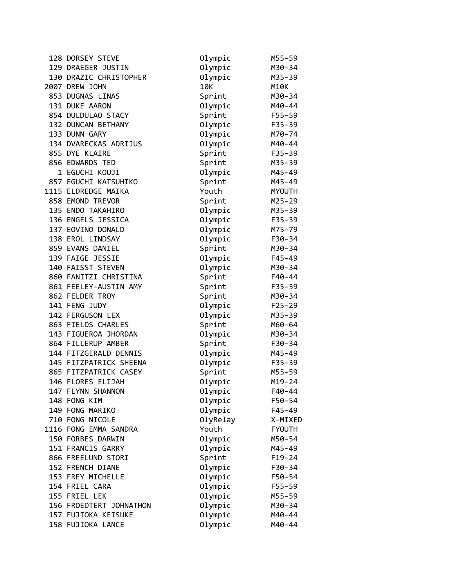| 128 DORSEY STEVE        | Olympic  | M55-59        |
|-------------------------|----------|---------------|
| 129 DRAEGER JUSTIN      | Olympic  | M30-34        |
| 130 DRAZIC CHRISTOPHER  | Olympic  | M35-39        |
| 2007 DREW JOHN          | 10K      | M10K          |
| 853 DUGNAS LINAS        | Sprint   | M30-34        |
| 131 DUKE AARON          | Olympic  | M40-44        |
| 854 DULDULAO STACY      | Sprint   | $F55 - 59$    |
| 132 DUNCAN BETHANY      | Olympic  | $F35 - 39$    |
| 133 DUNN GARY           | Olympic  | M70-74        |
| 134 DVARECKAS ADRIJUS   | Olympic  | M40-44        |
| 855 DYE KLAIRE          | Sprint   | $F35 - 39$    |
| 856 EDWARDS TED         | Sprint   | M35-39        |
| 1 EGUCHI KOUJI          | Olympic  | M45-49        |
| 857 EGUCHI KATSUHIKO    | Sprint   | M45-49        |
| 1115 ELDREDGE MAIKA     | Youth    | <b>MYOUTH</b> |
| 858 EMOND TREVOR        | Sprint   | M25-29        |
| 135 ENDO TAKAHIRO       | Olympic  | M35-39        |
| 136 ENGELS JESSICA      | Olympic  | $F35 - 39$    |
| 137 EOVINO DONALD       | Olympic  | M75-79        |
| 138 EROL LINDSAY        | Olympic  | F30-34        |
| 859 EVANS DANIEL        | Sprint   | M30-34        |
| 139 FAIGE JESSIE        | Olympic  | $F45 - 49$    |
| 140 FAISST STEVEN       | Olympic  | M30-34        |
| 860 FANITZI CHRISTINA   | Sprint   | $F40 - 44$    |
| 861 FEELEY-AUSTIN AMY   | Sprint   | $F35 - 39$    |
|                         |          |               |
| 862 FELDER TROY         | Sprint   | M30-34        |
| 141 FENG JUDY           | Olympic  | $F25 - 29$    |
| 142 FERGUSON LEX        | Olympic  | M35-39        |
| 863 FIELDS CHARLES      | Sprint   | M60-64        |
| 143 FIGUEROA JHORDAN    | Olympic  | M30-34        |
| 864 FILLERUP AMBER      | Sprint   | F30-34        |
| 144 FITZGERALD DENNIS   | Olympic  | M45-49        |
| 145 FITZPATRICK SHEENA  | Olympic  | $F35 - 39$    |
| 865 FITZPATRICK CASEY   | Sprint   | M55-59        |
| 146 FLORES ELIJAH       | Olympic  | M19-24        |
| 147 FLYNN SHANNON       | Olympic  | F40-44        |
| 148 FONG KIM            | Olympic  | F50-54        |
| 149 FONG MARIKO         | Olympic  | $F45 - 49$    |
| 710 FONG NICOLE         | OlyRelay | X-MIXED       |
| 1116 FONG EMMA SANDRA   | Youth    | <b>FYOUTH</b> |
| 150 FORBES DARWIN       | Olympic  | M50-54        |
| 151 FRANCIS GARRY       | Olympic  | M45-49        |
| 866 FREELUND STORI      | Sprint   | $F19-24$      |
| 152 FRENCH DIANE        | Olympic  | F30-34        |
| 153 FREY MICHELLE       | Olympic  | F50-54        |
| 154 FRIEL CARA          | Olympic  | F55-59        |
| 155 FRIEL LEK           | Olympic  | M55-59        |
| 156 FROEDTERT JOHNATHON | Olympic  | M30-34        |
| 157 FUJIOKA KEISUKE     | Olympic  | M40-44        |
| 158 FUJIOKA LANCE       | Olympic  | M40-44        |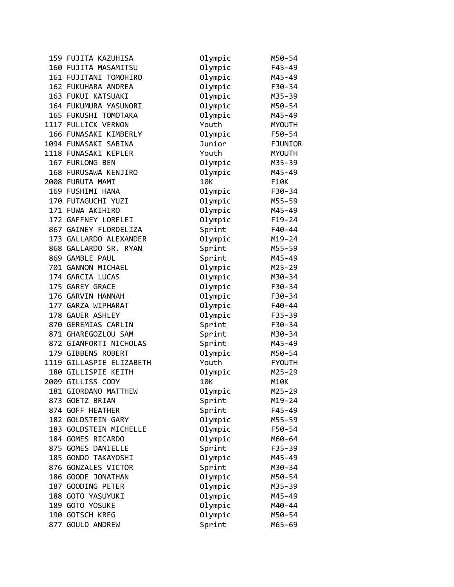| 159 FUJITA KAZUHISA      | Olympic | M50-54         |
|--------------------------|---------|----------------|
| 160 FUJITA MASAMITSU     | Olympic | $F45 - 49$     |
| 161 FUJITANI TOMOHIRO    | Olympic | M45-49         |
| 162 FUKUHARA ANDREA      | Olympic | F30-34         |
| 163 FUKUI KATSUAKI       | Olympic | M35-39         |
| 164 FUKUMURA YASUNORI    | Olympic | M50-54         |
| 165 FUKUSHI TOMOTAKA     | Olympic | M45-49         |
| 1117 FULLICK VERNON      | Youth   | <b>MYOUTH</b>  |
| 166 FUNASAKI KIMBERLY    | Olympic | F50-54         |
| 1094 FUNASAKI SABINA     | Junior  | <b>FJUNIOR</b> |
| 1118 FUNASAKI KEPLER     | Youth   | <b>MYOUTH</b>  |
| 167 FURLONG BEN          | Olympic | M35-39         |
| 168 FURUSAWA KENJIRO     | Olympic | M45-49         |
| 2008 FURUTA MAMI         | 10K     | F10K           |
| 169 FUSHIMI HANA         | Olympic | F30-34         |
| 170 FUTAGUCHI YUZI       | Olympic | M55-59         |
| 171 FUWA AKIHIRO         | Olympic | M45-49         |
| 172 GAFFNEY LORELEI      | Olympic | $F19-24$       |
| 867 GAINEY FLORDELIZA    | Sprint  | F40-44         |
| 173 GALLARDO ALEXANDER   | Olympic | M19-24         |
| 868 GALLARDO SR. RYAN    | Sprint  | M55-59         |
| 869 GAMBLE PAUL          | Sprint  | M45-49         |
| 701 GANNON MICHAEL       | Olympic | M25-29         |
| 174 GARCIA LUCAS         | Olympic | M30-34         |
| 175 GAREY GRACE          | Olympic | F30-34         |
| 176 GARVIN HANNAH        | Olympic | F30-34         |
| 177 GARZA WIPHARAT       | Olympic | F40-44         |
| 178 GAUER ASHLEY         | Olympic | $F35 - 39$     |
| 870 GEREMIAS CARLIN      | Sprint  | F30-34         |
| 871 GHAREGOZLOU SAM      | Sprint  | M30-34         |
| 872 GIANFORTI NICHOLAS   | Sprint  | M45-49         |
| 179 GIBBENS ROBERT       | Olympic | M50-54         |
| 1119 GILLASPIE ELIZABETH | Youth   | <b>FYOUTH</b>  |
| 180 GILLISPIE KEITH      | Olympic | M25-29         |
| 2009 GILLISS CODY        | 10K     | <b>M10K</b>    |
| 181 GIORDANO MATTHEW     | Olympic | M25-29         |
| 873 GOETZ BRIAN          | Sprint  | M19-24         |
| 874 GOFF HEATHER         | Sprint  | $F45 - 49$     |
| 182 GOLDSTEIN GARY       | Olympic | M55-59         |
| 183 GOLDSTEIN MICHELLE   | Olympic | F50-54         |
| 184 GOMES RICARDO        | Olympic | M60-64         |
| 875 GOMES DANIELLE       | Sprint  | F35-39         |
| 185 GONDO TAKAYOSHI      | Olympic | M45-49         |
| 876 GONZALES VICTOR      | Sprint  | M30-34         |
| 186 GOODE JONATHAN       | Olympic | M50-54         |
| 187 GOODING PETER        | Olympic | M35-39         |
| 188 GOTO YASUYUKI        | Olympic | M45-49         |
| 189 GOTO YOSUKE          | Olympic | M40-44         |
| 190 GOTSCH KREG          | Olympic | M50-54         |
| 877 GOULD ANDREW         | Sprint  | M65-69         |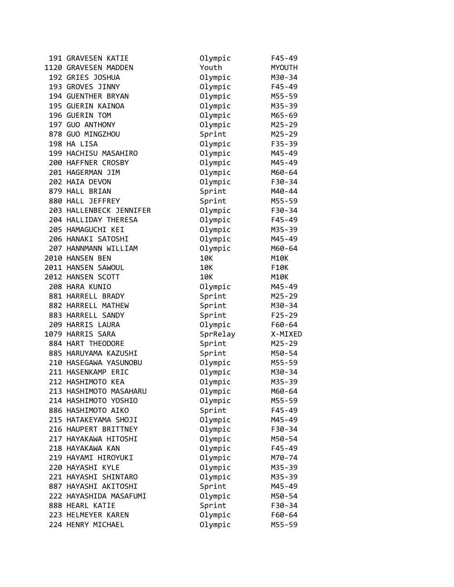| 191 GRAVESEN KATIE      | Olympic  | $F45 - 49$ |
|-------------------------|----------|------------|
| 1120 GRAVESEN MADDEN    | Youth    | MYOUTH     |
| 192 GRIES JOSHUA        | Olympic  | M30-34     |
| 193 GROVES JINNY        | Olympic  | F45-49     |
| 194 GUENTHER BRYAN      | Olympic  | M55-59     |
| 195 GUERIN KAINOA       | Olympic  | M35-39     |
| 196 GUERIN TOM          | Olympic  | M65-69     |
| 197 GUO ANTHONY         | Olympic  | $M25 - 29$ |
| 878 GUO MINGZHOU        | Sprint   | $M25 - 29$ |
| 198 HA LISA             | Olympic  | $F35 - 39$ |
| 199 HACHISU MASAHIRO    | Olympic  | M45-49     |
| 200 HAFFNER CROSBY      | Olympic  | M45-49     |
| 201 HAGERMAN JIM        | Olympic  | M60-64     |
| 202 HAIA DEVON          | Olympic  | F30-34     |
| 879 HALL BRIAN          | Sprint   | M40-44     |
| 880 HALL JEFFREY        | Sprint   | M55-59     |
| 203 HALLENBECK JENNIFER | Olympic  | F30-34     |
| 204 HALLIDAY THERESA    | Olympic  | F45-49     |
| 205 HAMAGUCHI KEI       | Olympic  | M35-39     |
| 206 HANAKI SATOSHI      | Olympic  | M45-49     |
| 207 HANNMANN WILLIAM    | Olympic  | M60-64     |
| 2010 HANSEN BEN         | 10K      | M10K       |
| 2011 HANSEN SAWOUL      | 10K      | F10K       |
| 2012 HANSEN SCOTT       | 10K      | M10K       |
| 208 HARA KUNIO          | Olympic  | M45-49     |
| 881 HARRELL BRADY       | Sprint   | M25-29     |
| 882 HARRELL MATHEW      | Sprint   | M30-34     |
| 883 HARRELL SANDY       | Sprint   | $F25 - 29$ |
| 209 HARRIS LAURA        | Olympic  | F60-64     |
| 1079 HARRIS SARA        | SprRelay | X-MIXED    |
| 884 HART THEODORE       | Sprint   | M25-29     |
| 885 HARUYAMA KAZUSHI    | Sprint   | M50-54     |
| 210 HASEGAWA YASUNOBU   | Olympic  | M55-59     |
| 211 HASENKAMP ERIC      | Olympic  | M30-34     |
| 212 HASHIMOTO KEA       | Olympic  | M35-39     |
| 213 HASHIMOTO MASAHARU  | Olympic  | M60-64     |
| 214 HASHIMOTO YOSHIO    | Olympic  | M55-59     |
| 886 HASHIMOTO AIKO      | Sprint   | $F45 - 49$ |
| 215 HATAKEYAMA SHOJI    | Olympic  | M45-49     |
| 216 HAUPERT BRITTNEY    | Olympic  | F30-34     |
| 217 HAYAKAWA HITOSHI    | Olympic  | M50-54     |
| 218 HAYAKAWA KAN        | Olympic  | $F45 - 49$ |
| 219 HAYAMI HIROYUKI     | Olympic  | M70-74     |
| 220 HAYASHI KYLE        | Olympic  | M35-39     |
| 221 HAYASHI SHINTARO    | Olympic  | M35-39     |
| 887 HAYASHI AKITOSHI    | Sprint   | M45-49     |
| 222 HAYASHIDA MASAFUMI  | Olympic  | M50-54     |
| 888 HEARL KATIE         | Sprint   | F30-34     |
| 223 HELMEYER KAREN      | Olympic  | F60-64     |
| 224 HENRY MICHAEL       | Olympic  | M55-59     |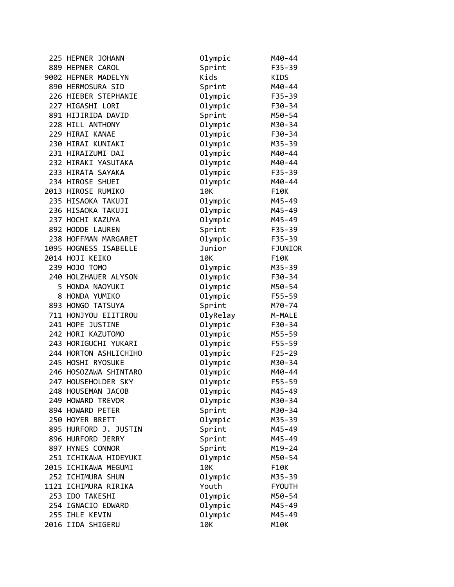| 225 HEPNER JOHANN     | Olympic  | M40-44        |
|-----------------------|----------|---------------|
| 889 HEPNER CAROL      | Sprint   | $F35 - 39$    |
| 9002 HEPNER MADELYN   | Kids     | KIDS          |
| 890 HERMOSURA SID     | Sprint   | M40-44        |
| 226 HIEBER STEPHANIE  | Olympic  | $F35 - 39$    |
| 227 HIGASHI LORI      | Olympic  | F30-34        |
| 891 HIJIRIDA DAVID    | Sprint   | M50-54        |
| 228 HILL ANTHONY      | Olympic  | M30-34        |
| 229 HIRAI KANAE       | Olympic  | F30-34        |
| 230 HIRAI KUNIAKI     | Olympic  | M35-39        |
| 231 HIRAIZUMI DAI     | Olympic  | M40-44        |
| 232 HIRAKI YASUTAKA   | Olympic  | M40-44        |
| 233 HIRATA SAYAKA     | Olympic  | $F35 - 39$    |
| 234 HIROSE SHUEI      | Olympic  | M40-44        |
| 2013 HIROSE RUMIKO    | 10K      | F10K          |
| 235 HISAOKA TAKUJI    | Olympic  | M45-49        |
| 236 HISAOKA TAKUJI    | Olympic  | M45-49        |
| 237 HOCHI KAZUYA      | Olympic  | M45-49        |
| 892 HODDE LAUREN      | Sprint   | $F35 - 39$    |
| 238 HOFFMAN MARGARET  | Olympic  | $F35 - 39$    |
| 1095 HOGNESS ISABELLE | Junior   | FJUNIOR       |
| 2014 HOJI KEIKO       | 10K      | F10K          |
| 239 HOJO TOMO         | Olympic  | M35-39        |
| 240 HOLZHAUER ALYSON  | Olympic  | F30-34        |
| 5 HONDA NAOYUKI       | Olympic  | M50-54        |
| 8 HONDA YUMIKO        | Olympic  | F55-59        |
| 893 HONGO TATSUYA     | Sprint   | M70-74        |
| 711 HONJYOU EIITIROU  | OlyRelay | M-MALE        |
| 241 HOPE JUSTINE      | Olympic  | F30-34        |
| 242 HORI KAZUTOMO     | Olympic  | M55-59        |
| 243 HORIGUCHI YUKARI  | Olympic  | F55-59        |
| 244 HORTON ASHLICHIHO | Olympic  | $F25 - 29$    |
| 245 HOSHI RYOSUKE     | Olympic  | M30-34        |
| 246 HOSOZAWA SHINTARO | Olympic  | M40-44        |
| 247 HOUSEHOLDER SKY   | Olympic  | F55-59        |
| 248 HOUSEMAN JACOB    | Olympic  | M45-49        |
| 249 HOWARD TREVOR     | Olympic  | M30-34        |
| 894 HOWARD PETER      | Sprint   | M30-34        |
| 250 HOYER BRETT       | Olympic  | M35-39        |
| 895 HURFORD J. JUSTIN | Sprint   | M45-49        |
| 896 HURFORD JERRY     | Sprint   | M45-49        |
| 897 HYNES CONNOR      | Sprint   | $M19 - 24$    |
| 251 ICHIKAWA HIDEYUKI | Olympic  | M50-54        |
| 2015 ICHIKAWA MEGUMI  | 10K      | F10K          |
| 252 ICHIMURA SHUN     | Olympic  | M35-39        |
| 1121 ICHIMURA RIRIKA  | Youth    | <b>FYOUTH</b> |
| 253 IDO TAKESHI       | Olympic  | M50-54        |
| 254 IGNACIO EDWARD    | Olympic  | M45-49        |
| 255 IHLE KEVIN        | Olympic  | M45-49        |
| 2016 IIDA SHIGERU     | 10K      | M10K          |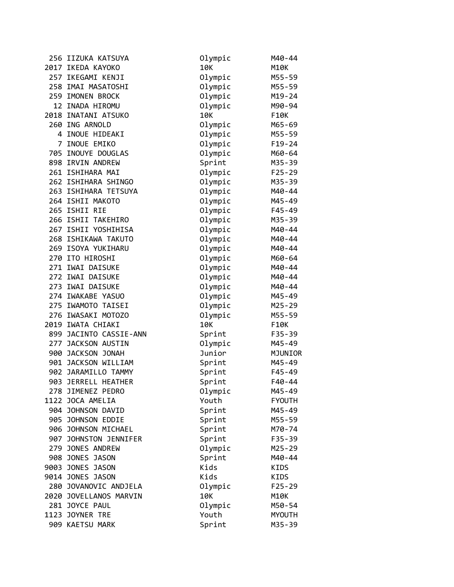| 256 IIZUKA KATSUYA     | Olympic | M40-44        |
|------------------------|---------|---------------|
| 2017 IKEDA KAYOKO      | 10K     | <b>M10K</b>   |
| 257 IKEGAMI KENJI      | Olympic | M55-59        |
| 258 IMAI MASATOSHI     | Olympic | M55-59        |
| 259 IMONEN BROCK       | Olympic | M19-24        |
| 12 INADA HIROMU        | Olympic | M90-94        |
| 2018 INATANI ATSUKO    | 10K     | F10K          |
| 260 ING ARNOLD         | Olympic | M65-69        |
| 4 INOUE HIDEAKI        | Olympic | M55-59        |
| 7 INOUE EMIKO          | Olympic | $F19-24$      |
| 705 INOUYE DOUGLAS     | Olympic | M60-64        |
| 898 IRVIN ANDREW       | Sprint  | M35-39        |
| 261 ISHIHARA MAI       | Olympic | $F25 - 29$    |
| 262 ISHIHARA SHINGO    | Olympic | M35-39        |
| 263 ISHIHARA TETSUYA   | Olympic | M40-44        |
| 264 ISHII MAKOTO       | Olympic | M45-49        |
| 265 ISHII RIE          | Olympic | $F45 - 49$    |
| 266 ISHII TAKEHIRO     | Olympic | M35-39        |
| 267 ISHII YOSHIHISA    | Olympic | M40-44        |
| 268 ISHIKAWA TAKUTO    | Olympic | M40-44        |
| 269 ISOYA YUKIHARU     | Olympic | M40-44        |
| 270 ITO HIROSHI        | Olympic | M60-64        |
| 271 IWAI DAISUKE       | Olympic | M40-44        |
| 272 IWAI DAISUKE       | Olympic | M40-44        |
| 273 IWAI DAISUKE       | Olympic | M40-44        |
| 274 IWAKABE YASUO      | Olympic | M45-49        |
| 275 IWAMOTO TAISEI     | Olympic | M25-29        |
| 276 IWASAKI MOTOZO     | Olympic | M55-59        |
| 2019 IWATA CHIAKI      | 10K     | F10K          |
| 899 JACINTO CASSIE-ANN | Sprint  | $F35 - 39$    |
| 277 JACKSON AUSTIN     | Olympic | M45-49        |
| 900 JACKSON JONAH      | Junior  | MJUNIOR       |
| 901 JACKSON WILLIAM    | Sprint  | M45-49        |
| 902 JARAMILLO TAMMY    | Sprint  | F45-49        |
| 903 JERRELL HEATHER    | Sprint  | $F40 - 44$    |
| 278 JIMENEZ PEDRO      | Olympic | M45-49        |
| 1122 JOCA AMELIA       | Youth   | <b>FYOUTH</b> |
| 904 JOHNSON DAVID      | Sprint  | M45-49        |
| 905 JOHNSON EDDIE      | Sprint  | M55-59        |
| 906 JOHNSON MICHAEL    | Sprint  | M70-74        |
| 907 JOHNSTON JENNIFER  | Sprint  | F35-39        |
| 279 JONES ANDREW       | Olympic | M25-29        |
| 908 JONES JASON        | Sprint  | M40-44        |
| 9003 JONES JASON       | Kids    | KIDS          |
| 9014 JONES JASON       | Kids    | KIDS          |
| 280 JOVANOVIC ANDJELA  | Olympic | $F25 - 29$    |
| 2020 JOVELLANOS MARVIN | 10K     | M10K          |
| 281 JOYCE PAUL         | Olympic | M50-54        |
| 1123 JOYNER TRE        | Youth   | <b>MYOUTH</b> |
| 909 KAETSU MARK        | Sprint  | M35-39        |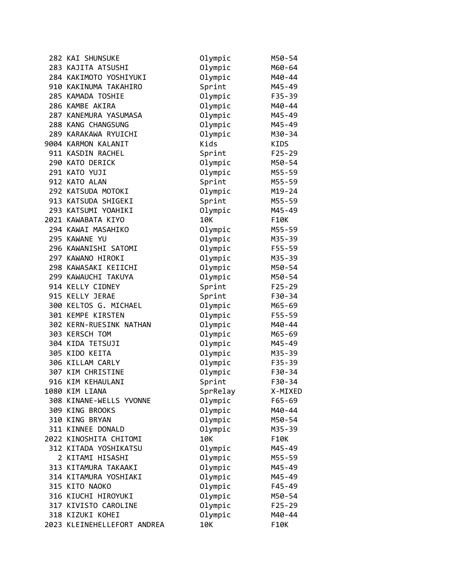| 282 KAI SHUNSUKE            | Olympic  | M50-54      |
|-----------------------------|----------|-------------|
| 283 KAJITA ATSUSHI          | Olympic  | M60-64      |
| 284 KAKIMOTO YOSHIYUKI      | Olympic  | M40-44      |
| 910 KAKINUMA TAKAHIRO       | Sprint   | M45-49      |
| 285 KAMADA TOSHIE           | Olympic  | F35-39      |
| 286 KAMBE AKIRA             | Olympic  | M40-44      |
| 287 KANEMURA YASUMASA       | Olympic  | M45-49      |
| 288 KANG CHANGSUNG          | Olympic  | M45-49      |
| 289 KARAKAWA RYUICHI        | Olympic  | M30-34      |
| 9004 KARMON KALANIT         | Kids     | <b>KIDS</b> |
| 911 KASDIN RACHEL           | Sprint   | $F25 - 29$  |
| 290 KATO DERICK             | Olympic  | M50-54      |
| 291 KATO YUJI               | Olympic  | M55-59      |
| 912 KATO ALAN               | Sprint   | M55-59      |
| 292 KATSUDA MOTOKI          | Olympic  | $M19 - 24$  |
| 913 KATSUDA SHIGEKI         | Sprint   | M55-59      |
| 293 KATSUMI YOAHIKI         | Olympic  | M45-49      |
| 2021 KAWABATA KIYO          | 10K      | F10K        |
| 294 KAWAI MASAHIKO          | Olympic  | M55-59      |
| 295 KAWANE YU               | Olympic  | M35-39      |
| 296 KAWANISHI SATOMI        | Olympic  | $F55 - 59$  |
| 297 KAWANO HIROKI           | Olympic  | M35-39      |
| 298 KAWASAKI KEIICHI        | Olympic  | M50-54      |
| 299 KAWAUCHI TAKUYA         | Olympic  | M50-54      |
| 914 KELLY CIDNEY            | Sprint   | $F25 - 29$  |
| 915 KELLY JERAE             | Sprint   | F30-34      |
| 300 KELTOS G. MICHAEL       | Olympic  | M65-69      |
| 301 KEMPE KIRSTEN           | Olympic  | F55-59      |
| 302 KERN-RUESINK NATHAN     | Olympic  | M40-44      |
| 303 KERSCH TOM              | Olympic  | M65-69      |
| 304 KIDA TETSUJI            | Olympic  | M45-49      |
| 305 KIDO KEITA              | Olympic  | M35-39      |
| 306 KILLAM CARLY            | Olympic  | $F35 - 39$  |
| 307 KIM CHRISTINE           | Olympic  | F30-34      |
| 916 KIM KEHAULANI           | Sprint   | F30-34      |
| 1080 KIM LIANA              | SprRelay | X-MIXED     |
| 308 KINANE-WELLS YVONNE     | Olympic  | F65-69      |
| 309 KING BROOKS             | Olympic  | M40-44      |
| 310 KING BRYAN              | Olympic  | M50-54      |
| 311 KINNEE DONALD           | Olympic  | M35-39      |
| 2022 KINOSHITA CHITOMI      | 10K      | F10K        |
| 312 KITADA YOSHIKATSU       | Olympic  | M45-49      |
| 2 KITAMI HISASHI            | Olympic  | M55-59      |
| 313 KITAMURA TAKAAKI        | Olympic  | M45-49      |
| 314 KITAMURA YOSHIAKI       | Olympic  | M45-49      |
| 315 KITO NAOKO              | Olympic  | $F45 - 49$  |
| 316 KIUCHI HIROYUKI         | Olympic  | M50-54      |
| 317 KIVISTO CAROLINE        | Olympic  | $F25 - 29$  |
| 318 KIZUKI KOHEI            | Olympic  | M40-44      |
| 2023 KLEINEHELLEFORT ANDREA | 10K      | F10K        |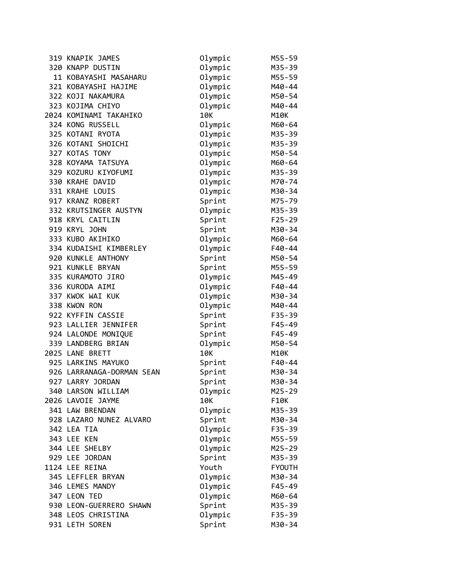| 319 KNAPIK JAMES          | Olympic | M55-59        |
|---------------------------|---------|---------------|
| 320 KNAPP DUSTIN          | Olympic | M35-39        |
| 11 KOBAYASHI MASAHARU     | Olympic | M55-59        |
| 321 KOBAYASHI HAJIME      | Olympic | M40-44        |
| 322 KOJI NAKAMURA         | Olympic | M50-54        |
| 323 KOJIMA CHIYO          | Olympic | M40-44        |
| 2024 KOMINAMI TAKAHIKO    | 10K     | M10K          |
| 324 KONG RUSSELL          | Olympic | M60-64        |
| 325 KOTANI RYOTA          | Olympic | M35-39        |
| 326 KOTANI SHOICHI        | Olympic | M35-39        |
| 327 KOTAS TONY            | Olympic | M50-54        |
| 328 KOYAMA TATSUYA        | Olympic | M60-64        |
| 329 KOZURU KIYOFUMI       | Olympic | M35-39        |
| 330 KRAHE DAVID           | Olympic | M70-74        |
| 331 KRAHE LOUIS           | Olympic | M30-34        |
| 917 KRANZ ROBERT          | Sprint  | M75-79        |
| 332 KRUTSINGER AUSTYN     | Olympic | M35-39        |
| 918 KRYL CAITLIN          | Sprint  | $F25 - 29$    |
| 919 KRYL JOHN             | Sprint  | M30-34        |
| 333 KUBO AKIHIKO          | Olympic | M60-64        |
| 334 KUDAISHI KIMBERLEY    | Olympic | F40-44        |
| 920 KUNKLE ANTHONY        | Sprint  | M50-54        |
| 921 KUNKLE BRYAN          | Sprint  | M55-59        |
| 335 KURAMOTO JIRO         | Olympic | M45-49        |
| 336 KURODA AIMI           | Olympic | F40-44        |
| 337 KWOK WAI KUK          | Olympic | M30-34        |
| 338 KWON RON              | Olympic | M40-44        |
| 922 KYFFIN CASSIE         | Sprint  | F35-39        |
| 923 LALLIER JENNIFER      | Sprint  | F45-49        |
| 924 LALONDE MONIQUE       | Sprint  | $F45 - 49$    |
| 339 LANDBERG BRIAN        | Olympic | M50-54        |
| 2025 LANE BRETT           | 10K     | M10K          |
| 925 LARKINS MAYUKO        | Sprint  | F40-44        |
| 926 LARRANAGA-DORMAN SEAN | Sprint  | M30-34        |
| 927 LARRY JORDAN          | Sprint  | M30-34        |
| 340 LARSON WILLIAM        | Olympic | $M25 - 29$    |
| 2026 LAVOIE JAYME         | 10K     | F10K          |
| 341 LAW BRENDAN           | Olympic | M35-39        |
| 928 LAZARO NUNEZ ALVARO   | Sprint  | M30-34        |
| 342 LEA TIA               | Olympic | F35-39        |
| 343 LEE KEN               | Olympic | M55-59        |
| 344 LEE SHELBY            | Olympic | M25-29        |
| 929 LEE JORDAN            | Sprint  | M35-39        |
| 1124 LEE REINA            | Youth   | <b>FYOUTH</b> |
| 345 LEFFLER BRYAN         | Olympic | M30-34        |
| 346 LEMES MANDY           | Olympic | F45-49        |
| 347 LEON TED              | Olympic | M60-64        |
| 930 LEON-GUERRERO SHAWN   | Sprint  | M35-39        |
| 348 LEOS CHRISTINA        | Olympic | F35-39        |
| 931 LETH SOREN            | Sprint  | M30-34        |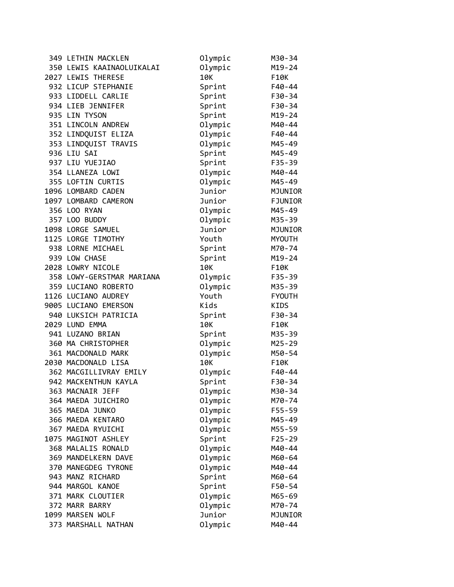| 349 LETHIN MACKLEN        | Olympic | M30-34         |
|---------------------------|---------|----------------|
| 350 LEWIS KAAINAOLUIKALAI | Olympic | $M19 - 24$     |
| 2027 LEWIS THERESE        | 10K     | F10K           |
| 932 LICUP STEPHANIE       | Sprint  | F40-44         |
| 933 LIDDELL CARLIE        | Sprint  | F30-34         |
| 934 LIEB JENNIFER         | Sprint  | F30-34         |
| 935 LIN TYSON             | Sprint  | M19-24         |
| 351 LINCOLN ANDREW        | Olympic | M40-44         |
| 352 LINDQUIST ELIZA       | Olympic | $F40 - 44$     |
| 353 LINDQUIST TRAVIS      | Olympic | M45-49         |
| 936 LIU SAI               | Sprint  | M45-49         |
| 937 LIU YUEJIAO           | Sprint  | $F35 - 39$     |
| 354 LLANEZA LOWI          | Olympic | M40-44         |
| 355 LOFTIN CURTIS         | Olympic | M45-49         |
| 1096 LOMBARD CADEN        | Junior  | MJUNIOR        |
| 1097 LOMBARD CAMERON      | Junior  | <b>FJUNIOR</b> |
| 356 LOO RYAN              | Olympic | M45-49         |
| 357 LOO BUDDY             | Olympic | M35-39         |
| 1098 LORGE SAMUEL         | Junior  | MJUNIOR        |
| 1125 LORGE TIMOTHY        | Youth   | <b>MYOUTH</b>  |
| 938 LORNE MICHAEL         | Sprint  | M70-74         |
| 939 LOW CHASE             | Sprint  | $M19 - 24$     |
| 2028 LOWRY NICOLE         | 10K     | F10K           |
| 358 LOWY-GERSTMAR MARIANA | Olympic | $F35 - 39$     |
| 359 LUCIANO ROBERTO       | Olympic | M35-39         |
| 1126 LUCIANO AUDREY       | Youth   | <b>FYOUTH</b>  |
| 9005 LUCIANO EMERSON      | Kids    | KIDS           |
| 940 LUKSICH PATRICIA      | Sprint  | F30-34         |
| 2029 LUND EMMA            | 10K     | F10K           |
| 941 LUZANO BRIAN          | Sprint  | M35-39         |
| 360 MA CHRISTOPHER        | Olympic | M25-29         |
| 361 MACDONALD MARK        | Olympic | M50-54         |
| 2030 MACDONALD LISA       | 10K     | F10K           |
| 362 MACGILLIVRAY EMILY    | Olympic | F40-44         |
| 942 MACKENTHUN KAYLA      | Sprint  | F30-34         |
| 363 MACNAIR JEFF          | Olympic | M30-34         |
| 364 MAEDA JUICHIRO        | Olympic | M70-74         |
| 365 MAEDA JUNKO           | Olympic | F55-59         |
| 366 MAEDA KENTARO         | Olympic | M45-49         |
| 367 MAEDA RYUICHI         | Olympic | M55-59         |
| 1075 MAGINOT ASHLEY       | Sprint  | $F25 - 29$     |
| 368 MALALIS RONALD        | Olympic | M40-44         |
| 369 MANDELKERN DAVE       | Olympic | M60-64         |
| 370 MANEGDEG TYRONE       | Olympic | M40-44         |
| 943 MANZ RICHARD          | Sprint  | M60-64         |
| 944 MARGOL KANOE          | Sprint  | F50-54         |
| 371 MARK CLOUTIER         | Olympic | M65-69         |
| 372 MARR BARRY            | Olympic | M70-74         |
| 1099 MARSEN WOLF          | Junior  | MJUNIOR        |
| 373 MARSHALL NATHAN       | Olympic | M40-44         |
|                           |         |                |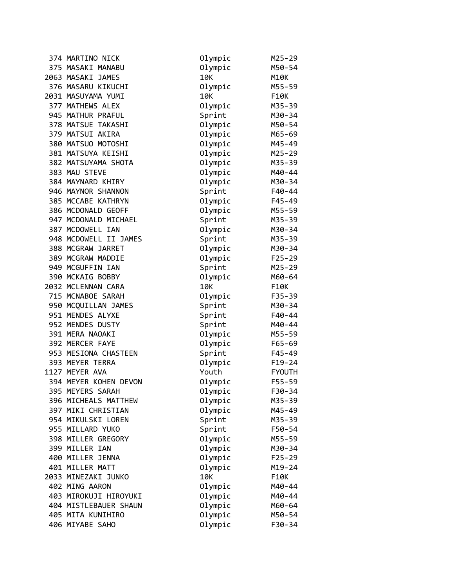| 374 MARTINO NICK      | Olympic | M25-29        |
|-----------------------|---------|---------------|
| 375 MASAKI MANABU     | Olympic | M50-54        |
| 2063 MASAKI JAMES     | 10K     | M10K          |
| 376 MASARU KIKUCHI    | Olympic | M55-59        |
| 2031 MASUYAMA YUMI    | 10K     | F10K          |
| 377 MATHEWS ALEX      | Olympic | M35-39        |
| 945 MATHUR PRAFUL     | Sprint  | M30-34        |
| 378 MATSUE TAKASHI    | Olympic | M50-54        |
| 379 MATSUI AKIRA      | Olympic | M65-69        |
| 380 MATSUO MOTOSHI    | Olympic | M45-49        |
| 381 MATSUYA KEISHI    | Olympic | M25-29        |
| 382 MATSUYAMA SHOTA   | Olympic | M35-39        |
| 383 MAU STEVE         | Olympic | M40-44        |
| 384 MAYNARD KHIRY     | Olympic | M30-34        |
| 946 MAYNOR SHANNON    | Sprint  | F40-44        |
| 385 MCCABE KATHRYN    | Olympic | $F45 - 49$    |
| 386 MCDONALD GEOFF    | Olympic | M55-59        |
| 947 MCDONALD MICHAEL  | Sprint  | M35-39        |
| 387 MCDOWELL IAN      | Olympic | M30-34        |
| 948 MCDOWELL II JAMES | Sprint  | M35-39        |
| 388 MCGRAW JARRET     | Olympic | M30-34        |
| 389 MCGRAW MADDIE     | Olympic | $F25 - 29$    |
| 949 MCGUFFIN IAN      | Sprint  | M25-29        |
| 390 MCKAIG BOBBY      | Olympic | M60-64        |
| 2032 MCLENNAN CARA    | 10K     | F10K          |
| 715 MCNABOE SARAH     | Olympic | F35-39        |
| 950 MCQUILLAN JAMES   | Sprint  | M30-34        |
| 951 MENDES ALYXE      | Sprint  | F40-44        |
| 952 MENDES DUSTY      | Sprint  | M40-44        |
| 391 MERA NAOAKI       | Olympic | M55-59        |
| 392 MERCER FAYE       | Olympic | F65-69        |
| 953 MESIONA CHASTEEN  | Sprint  | $F45 - 49$    |
| 393 MEYER TERRA       | Olympic | $F19-24$      |
| 1127 MEYER AVA        | Youth   | <b>FYOUTH</b> |
| 394 MEYER KOHEN DEVON | Olympic | F55-59        |
| 395 MEYERS SARAH      | Olympic | F30-34        |
| 396 MICHEALS MATTHEW  | Olympic | M35-39        |
| 397 MIKI CHRISTIAN    | Olympic | M45-49        |
| 954 MIKULSKI LOREN    | Sprint  | M35-39        |
| 955 MILLARD YUKO      | Sprint  | F50-54        |
| 398 MILLER GREGORY    | Olympic | M55-59        |
| 399 MILLER IAN        | Olympic | M30-34        |
| 400 MILLER JENNA      | Olympic | $F25 - 29$    |
| 401 MILLER MATT       | Olympic | $M19 - 24$    |
| 2033 MINEZAKI JUNKO   | 10K     | F10K          |
| 402 MING AARON        | Olympic | M40-44        |
| 403 MIROKUJI HIROYUKI | Olympic | M40-44        |
| 404 MISTLEBAUER SHAUN | Olympic | M60-64        |
| 405 MITA KUNIHIRO     | Olympic | M50-54        |
| 406 MIYABE SAHO       | Olympic | F30-34        |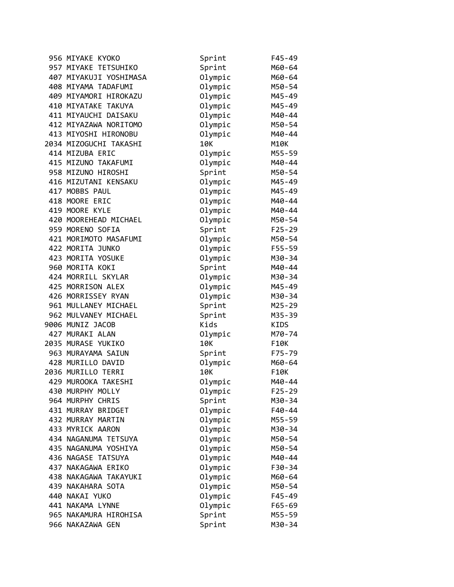| 956 MIYAKE KYOKO       | Sprint  | $F45 - 49$ |
|------------------------|---------|------------|
| 957 MIYAKE TETSUHIKO   | Sprint  | M60-64     |
| 407 MIYAKUJI YOSHIMASA | Olympic | M60-64     |
| 408 MIYAMA TADAFUMI    | Olympic | M50-54     |
| 409 MIYAMORI HIROKAZU  | Olympic | M45-49     |
| 410 MIYATAKE TAKUYA    | Olympic | M45-49     |
| 411 MIYAUCHI DAISAKU   | Olympic | M40-44     |
| 412 MIYAZAWA NORITOMO  | Olympic | M50-54     |
| 413 MIYOSHI HIRONOBU   | Olympic | M40-44     |
| 2034 MIZOGUCHI TAKASHI | 10K     | M10K       |
| 414 MIZUBA ERIC        | Olympic | M55-59     |
| 415 MIZUNO TAKAFUMI    | Olympic | M40-44     |
| 958 MIZUNO HIROSHI     | Sprint  | M50-54     |
| 416 MIZUTANI KENSAKU   | Olympic | M45-49     |
| 417 MOBBS PAUL         | Olympic | M45-49     |
| 418 MOORE ERIC         | Olympic | M40-44     |
| 419 MOORE KYLE         | Olympic | M40-44     |
| 420 MOOREHEAD MICHAEL  | Olympic | M50-54     |
| 959 MORENO SOFIA       | Sprint  | $F25 - 29$ |
| 421 MORIMOTO MASAFUMI  | Olympic | M50-54     |
| 422 MORITA JUNKO       | Olympic | F55-59     |
| 423 MORITA YOSUKE      | Olympic | M30-34     |
| 960 MORITA KOKI        | Sprint  | M40-44     |
| 424 MORRILL SKYLAR     | Olympic | M30-34     |
| 425 MORRISON ALEX      | Olympic | M45-49     |
| 426 MORRISSEY RYAN     | Olympic | M30-34     |
| 961 MULLANEY MICHAEL   | Sprint  | M25-29     |
| 962 MULVANEY MICHAEL   | Sprint  | M35-39     |
| 9006 MUNIZ JACOB       | Kids    | KIDS       |
| 427 MURAKI ALAN        | Olympic | M70-74     |
| 2035 MURASE YUKIKO     | 10K     | F10K       |
| 963 MURAYAMA SAIUN     | Sprint  | F75-79     |
| 428 MURILLO DAVID      | Olympic | M60-64     |
| 2036 MURILLO TERRI     | 10K     | F10K       |
| 429 MUROOKA TAKESHI    | Olympic | M40-44     |
| 430 MURPHY MOLLY       | Olympic | $F25 - 29$ |
| 964 MURPHY CHRIS       | Sprint  | M30-34     |
| 431 MURRAY BRIDGET     | Olympic | F40-44     |
| 432 MURRAY MARTIN      | Olympic | M55-59     |
| 433 MYRICK AARON       | Olympic | M30-34     |
| 434 NAGANUMA TETSUYA   | Olympic | M50-54     |
| 435 NAGANUMA YOSHIYA   | Olympic | M50-54     |
| 436 NAGASE TATSUYA     | Olympic | M40-44     |
| 437 NAKAGAWA ERIKO     | Olympic | F30-34     |
| 438 NAKAGAWA TAKAYUKI  | Olympic | M60-64     |
| 439 NAKAHARA SOTA      | Olympic | M50-54     |
| 440 NAKAI YUKO         | Olympic | $F45 - 49$ |
| 441 NAKAMA LYNNE       | Olympic | $F65 - 69$ |
| 965 NAKAMURA HIROHISA  | Sprint  | M55-59     |
| 966 NAKAZAWA GEN       | Sprint  | M30-34     |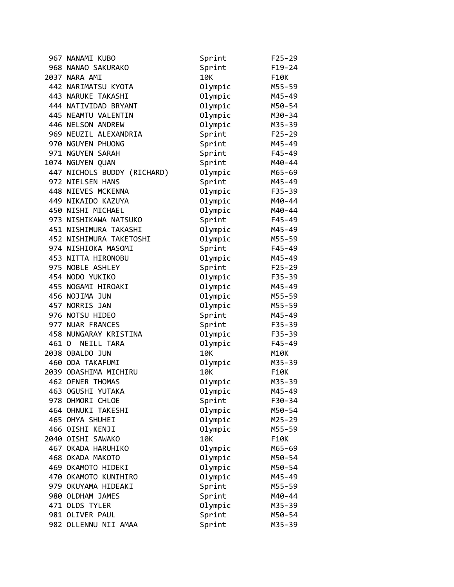|       | 967 NANAMI KUBO             | Sprint  | $F25 - 29$ |
|-------|-----------------------------|---------|------------|
|       | 968 NANAO SAKURAKO          | Sprint  | $F19-24$   |
|       | 2037 NARA AMI               | 10K     | F10K       |
|       | 442 NARIMATSU KYOTA         | Olympic | M55-59     |
|       | 443 NARUKE TAKASHI          | Olympic | M45-49     |
|       | 444 NATIVIDAD BRYANT        | Olympic | M50-54     |
|       | 445 NEAMTU VALENTIN         | Olympic | M30-34     |
|       | 446 NELSON ANDREW           | Olympic | M35-39     |
|       | 969 NEUZIL ALEXANDRIA       | Sprint  | $F25 - 29$ |
|       | 970 NGUYEN PHUONG           | Sprint  | M45-49     |
|       | 971 NGUYEN SARAH            | Sprint  | F45-49     |
|       | 1074 NGUYEN QUAN            | Sprint  | M40-44     |
|       | 447 NICHOLS BUDDY (RICHARD) | Olympic | M65-69     |
|       | 972 NIELSEN HANS            | Sprint  | M45-49     |
|       | 448 NIEVES MCKENNA          | Olympic | $F35 - 39$ |
|       | 449 NIKAIDO KAZUYA          | Olympic | M40-44     |
|       | 450 NISHI MICHAEL           | Olympic | M40-44     |
|       | 973 NISHIKAWA NATSUKO       | Sprint  | F45-49     |
|       | 451 NISHIMURA TAKASHI       | Olympic | M45-49     |
|       | 452 NISHIMURA TAKETOSHI     | Olympic | M55-59     |
|       | 974 NISHIOKA MASOMI         | Sprint  | $F45 - 49$ |
|       | 453 NITTA HIRONOBU          | Olympic | M45-49     |
|       | 975 NOBLE ASHLEY            | Sprint  | $F25 - 29$ |
|       | 454 NODO YUKIKO             | Olympic | $F35 - 39$ |
|       | 455 NOGAMI HIROAKI          | Olympic | M45-49     |
|       | 456 NOJIMA JUN              | Olympic | M55-59     |
|       | 457 NORRIS JAN              | Olympic | M55-59     |
|       | 976 NOTSU HIDEO             | Sprint  | M45-49     |
|       | 977 NUAR FRANCES            | Sprint  | $F35 - 39$ |
|       | 458 NUNGARAY KRISTINA       | Olympic | F35-39     |
| 461 0 | NEILL TARA                  | Olympic | $F45 - 49$ |
|       | 2038 OBALDO JUN             | 10K     | M10K       |
|       | 460 ODA TAKAFUMI            | Olympic | M35-39     |
|       | 2039 ODASHIMA MICHIRU       | 10K     | F10K       |
|       | 462 OFNER THOMAS            | Olympic | M35-39     |
|       | 463 OGUSHI YUTAKA           | Olympic | M45-49     |
|       | 978 OHMORI CHLOE            | Sprint  | F30-34     |
|       | 464 OHNUKI TAKESHI          | Olympic | M50-54     |
|       | 465 OHYA SHUHEI             | Olympic | M25-29     |
|       | 466 OISHI KENJI             | Olympic | M55-59     |
|       | 2040 OISHI SAWAKO           | 10K     | F10K       |
|       | 467 OKADA HARUHIKO          | Olympic | M65-69     |
|       | 468 OKADA MAKOTO            | Olympic | M50-54     |
|       | 469 OKAMOTO HIDEKI          | Olympic | M50-54     |
|       | 470 OKAMOTO KUNIHIRO        | Olympic | M45-49     |
|       | 979 OKUYAMA HIDEAKI         | Sprint  | M55-59     |
|       | 980 OLDHAM JAMES            | Sprint  | M40-44     |
|       | 471 OLDS TYLER              | Olympic | M35-39     |
|       | 981 OLIVER PAUL             | Sprint  | M50-54     |
|       | 982 OLLENNU NII AMAA        | Sprint  | M35-39     |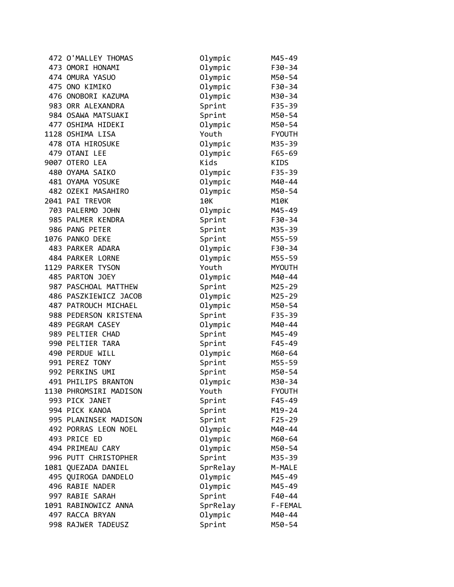| 472 O'MALLEY THOMAS    | Olympic  | M45-49        |
|------------------------|----------|---------------|
| 473 OMORI HONAMI       | Olympic  | F30-34        |
| 474 OMURA YASUO        | Olympic  | M50-54        |
| 475 ONO KIMIKO         | Olympic  | F30-34        |
| 476 ONOBORI KAZUMA     | Olympic  | M30-34        |
| 983 ORR ALEXANDRA      | Sprint   | F35-39        |
| 984 OSAWA MATSUAKI     | Sprint   | M50-54        |
| 477 OSHIMA HIDEKI      | Olympic  | M50-54        |
| 1128 OSHIMA LISA       | Youth    | <b>FYOUTH</b> |
| 478 OTA HIROSUKE       | Olympic  | M35-39        |
| 479 OTANI LEE          | Olympic  | $F65 - 69$    |
| 9007 OTERO LEA         | Kids     | <b>KIDS</b>   |
| 480 OYAMA SAIKO        | Olympic  | F35-39        |
| 481 OYAMA YOSUKE       | Olympic  | M40-44        |
| 482 OZEKI MASAHIRO     | Olympic  | M50-54        |
| 2041 PAI TREVOR        | 10K      | M10K          |
| 703 PALERMO JOHN       | Olympic  | M45-49        |
| 985 PALMER KENDRA      | Sprint   | F30-34        |
| 986 PANG PETER         | Sprint   | M35-39        |
| 1076 PANKO DEKE        | Sprint   | M55-59        |
| 483 PARKER ADARA       | Olympic  | F30-34        |
| 484 PARKER LORNE       | Olympic  | M55-59        |
| 1129 PARKER TYSON      | Youth    | <b>MYOUTH</b> |
| 485 PARTON JOEY        | Olympic  | M40-44        |
| 987 PASCHOAL MATTHEW   | Sprint   | $M25 - 29$    |
| 486 PASZKIEWICZ JACOB  | Olympic  | M25-29        |
| 487 PATROUCH MICHAEL   | Olympic  | M50-54        |
| 988 PEDERSON KRISTENA  | Sprint   | $F35 - 39$    |
| 489 PEGRAM CASEY       | Olympic  | M40-44        |
| 989 PELTIER CHAD       | Sprint   | M45-49        |
| 990 PELTIER TARA       | Sprint   | $F45 - 49$    |
| 490 PERDUE WILL        | Olympic  | M60-64        |
| 991 PEREZ TONY         | Sprint   | M55-59        |
| 992 PERKINS UMI        | Sprint   | M50-54        |
| 491 PHILIPS BRANTON    | Olympic  | M30-34        |
| 1130 PHROMSIRI MADISON | Youth    | <b>FYOUTH</b> |
| 993 PICK JANET         | Sprint   | F45-49        |
| 994 PICK KANOA         | Sprint   | $M19 - 24$    |
| 995 PLANINSEK MADISON  | Sprint   | $F25 - 29$    |
| 492 PORRAS LEON NOEL   | Olympic  | M40-44        |
| 493 PRICE ED           | Olympic  | M60-64        |
| 494 PRIMEAU CARY       | Olympic  | M50-54        |
| 996 PUTT CHRISTOPHER   | Sprint   | M35-39        |
| 1081 QUEZADA DANIEL    | SprRelay | M-MALE        |
| 495 QUIROGA DANDELO    | Olympic  | M45-49        |
| 496 RABIE NADER        | Olympic  | M45-49        |
| 997 RABIE SARAH        | Sprint   | F40-44        |
| 1091 RABINOWICZ ANNA   | SprRelay | F-FEMAL       |
| 497 RACCA BRYAN        | Olympic  | M40-44        |
| 998 RAJWER TADEUSZ     | Sprint   | M50-54        |
|                        |          |               |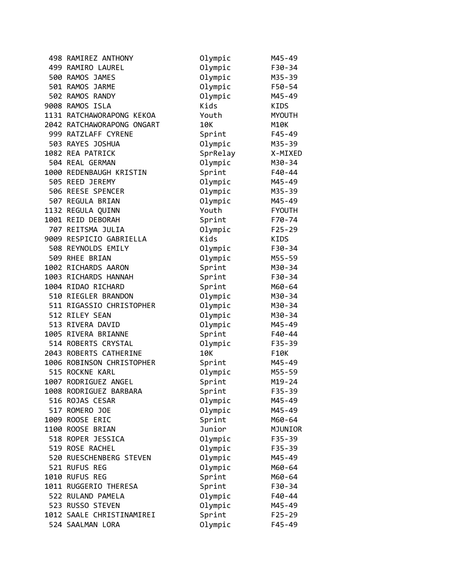| 498 RAMIREZ ANTHONY        | Olympic  | M45-49        |
|----------------------------|----------|---------------|
| 499 RAMIRO LAUREL          | Olympic  | F30-34        |
| 500 RAMOS JAMES            | Olympic  | M35-39        |
| 501 RAMOS JARME            | Olympic  | F50-54        |
| 502 RAMOS RANDY            | Olympic  | M45-49        |
| 9008 RAMOS ISLA            | Kids     | KIDS          |
| 1131 RATCHAWORAPONG KEKOA  | Youth    | <b>MYOUTH</b> |
| 2042 RATCHAWORAPONG ONGART | 10K      | M10K          |
| 999 RATZLAFF CYRENE        | Sprint   | $F45 - 49$    |
| 503 RAYES JOSHUA           | Olympic  | M35-39        |
| 1082 REA PATRICK           | SprRelay | X-MIXED       |
| 504 REAL GERMAN            | Olympic  | M30-34        |
| 1000 REDENBAUGH KRISTIN    | Sprint   | F40-44        |
| 505 REED JEREMY            | Olympic  | M45-49        |
| 506 REESE SPENCER          | Olympic  | M35-39        |
| 507 REGULA BRIAN           | Olympic  | M45-49        |
| 1132 REGULA QUINN          | Youth    | <b>FYOUTH</b> |
| 1001 REID DEBORAH          | Sprint   | F70-74        |
| 707 REITSMA JULIA          | Olympic  | $F25 - 29$    |
| 9009 RESPICIO GABRIELLA    | Kids     | KIDS          |
| 508 REYNOLDS EMILY         | Olympic  | F30-34        |
| 509 RHEE BRIAN             | Olympic  | M55-59        |
| 1002 RICHARDS AARON        | Sprint   | M30-34        |
| 1003 RICHARDS HANNAH       | Sprint   | F30-34        |
| 1004 RIDAO RICHARD         | Sprint   | M60-64        |
| 510 RIEGLER BRANDON        | Olympic  | M30-34        |
| 511 RIGASSIO CHRISTOPHER   | Olympic  | M30-34        |
| 512 RILEY SEAN             | Olympic  | M30-34        |
| 513 RIVERA DAVID           | Olympic  | M45-49        |
| 1005 RIVERA BRIANNE        | Sprint   | $F40 - 44$    |
| 514 ROBERTS CRYSTAL        | Olympic  | $F35 - 39$    |
| 2043 ROBERTS CATHERINE     | 10K      | F10K          |
| 1006 ROBINSON CHRISTOPHER  | Sprint   | M45-49        |
| 515 ROCKNE KARL            | Olympic  | M55-59        |
| 1007 RODRIGUEZ ANGEL       | Sprint   | $M19 - 24$    |
| 1008 RODRIGUEZ BARBARA     | Sprint   | F35-39        |
| 516 ROJAS CESAR            | Olympic  | M45-49        |
| 517 ROMERO JOE             | Olympic  | M45-49        |
| 1009 ROOSE ERIC            | Sprint   | M60-64        |
| 1100 ROOSE BRIAN           | Junior   | MJUNIOR       |
| 518 ROPER JESSICA          | Olympic  | F35-39        |
| 519 ROSE RACHEL            | Olympic  | F35-39        |
| 520 RUESCHENBERG STEVEN    | Olympic  | M45-49        |
| 521 RUFUS REG              | Olympic  | M60-64        |
| 1010 RUFUS REG             | Sprint   | M60-64        |
| 1011 RUGGERIO THERESA      | Sprint   | F30-34        |
| 522 RULAND PAMELA          | Olympic  | F40-44        |
| 523 RUSSO STEVEN           | Olympic  | M45-49        |
| 1012 SAALE CHRISTINAMIREI  | Sprint   | $F25 - 29$    |
| 524 SAALMAN LORA           | Olympic  | $F45 - 49$    |
|                            |          |               |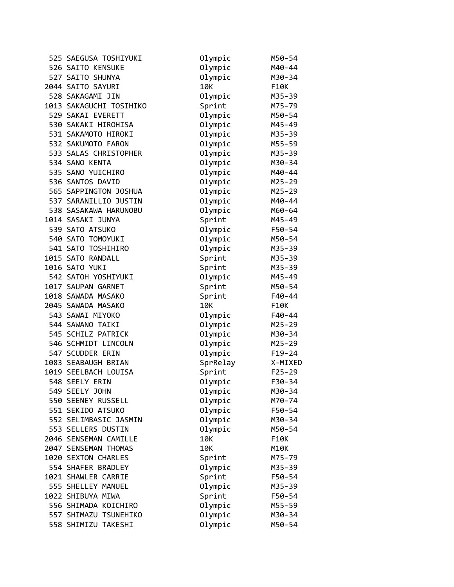| 525 SAEGUSA TOSHIYUKI   | Olympic  | M50-54     |
|-------------------------|----------|------------|
| 526 SAITO KENSUKE       | Olympic  | M40-44     |
| 527 SAITO SHUNYA        | Olympic  | M30-34     |
| 2044 SAITO SAYURI       | 10K      | F10K       |
| 528 SAKAGAMI JIN        | Olympic  | M35-39     |
| 1013 SAKAGUCHI TOSIHIKO | Sprint   | M75-79     |
| 529 SAKAI EVERETT       | Olympic  | M50-54     |
| 530 SAKAKI HIROHISA     | Olympic  | M45-49     |
| 531 SAKAMOTO HIROKI     | Olympic  | M35-39     |
| 532 SAKUMOTO FARON      | Olympic  | M55-59     |
| 533 SALAS CHRISTOPHER   | Olympic  | M35-39     |
| 534 SANO KENTA          | Olympic  | M30-34     |
| 535 SANO YUICHIRO       | Olympic  | M40-44     |
| 536 SANTOS DAVID        | Olympic  | $M25 - 29$ |
| 565 SAPPINGTON JOSHUA   | Olympic  | M25-29     |
| 537 SARANILLIO JUSTIN   | Olympic  | M40-44     |
| 538 SASAKAWA HARUNOBU   | Olympic  | M60-64     |
| 1014 SASAKI JUNYA       | Sprint   | M45-49     |
| 539 SATO ATSUKO         | Olympic  | F50-54     |
| 540 SATO TOMOYUKI       | Olympic  | M50-54     |
| 541 SATO TOSHIHIRO      | Olympic  | M35-39     |
| 1015 SATO RANDALL       | Sprint   | M35-39     |
| 1016 SATO YUKI          | Sprint   | M35-39     |
| 542 SATOH YOSHIYUKI     | Olympic  | M45-49     |
| 1017 SAUPAN GARNET      | Sprint   | M50-54     |
| 1018 SAWADA MASAKO      | Sprint   | $F40 - 44$ |
| 2045 SAWADA MASAKO      | 10K      | F10K       |
| 543 SAWAI MIYOKO        | Olympic  | $F40 - 44$ |
| 544 SAWANO TAIKI        | Olympic  | $M25 - 29$ |
| 545 SCHILZ PATRICK      | Olympic  | M30-34     |
| 546 SCHMIDT LINCOLN     | Olympic  | M25-29     |
| 547 SCUDDER ERIN        | Olympic  | $F19-24$   |
| 1083 SEABAUGH BRIAN     | SprRelay | X-MIXED    |
| 1019 SEELBACH LOUISA    | Sprint   | $F25 - 29$ |
| 548 SEELY ERIN          | Olympic  | F30-34     |
| 549 SEELY JOHN          | Olympic  | M30-34     |
| 550 SEENEY RUSSELL      | Olympic  | M70-74     |
| 551 SEKIDO ATSUKO       | Olympic  | F50-54     |
| 552 SELIMBASIC JASMIN   | Olympic  | M30-34     |
| 553 SELLERS DUSTIN      | Olympic  | M50-54     |
| 2046 SENSEMAN CAMILLE   | 10K      | F10K       |
| 2047 SENSEMAN THOMAS    | 10K      | M10K       |
| 1020 SEXTON CHARLES     | Sprint   | M75-79     |
| 554 SHAFER BRADLEY      | Olympic  | M35-39     |
| 1021 SHAWLER CARRIE     | Sprint   | F50-54     |
| 555 SHELLEY MANUEL      | Olympic  | M35-39     |
| 1022 SHIBUYA MIWA       | Sprint   | F50-54     |
|                         |          |            |
| 556 SHIMADA KOICHIRO    | Olympic  | M55-59     |
| 557 SHIMAZU TSUNEHIKO   | Olympic  | M30-34     |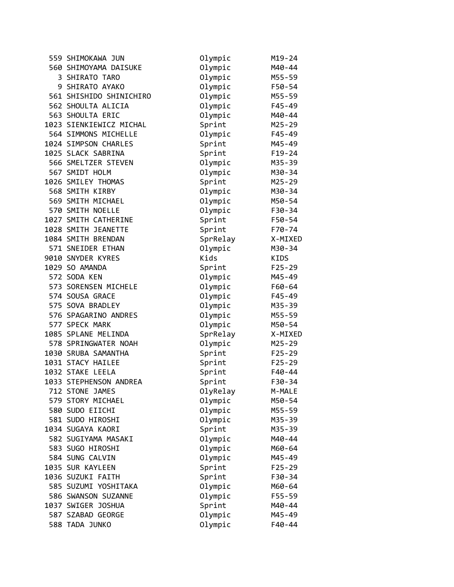| 559 SHIMOKAWA JUN       | Olympic  | $M19 - 24$ |
|-------------------------|----------|------------|
| 560 SHIMOYAMA DAISUKE   | Olympic  | M40-44     |
| 3 SHIRATO TARO          | Olympic  | M55-59     |
| 9 SHIRATO AYAKO         | Olympic  | F50-54     |
| 561 SHISHIDO SHINICHIRO | Olympic  | M55-59     |
| 562 SHOULTA ALICIA      | Olympic  | $F45 - 49$ |
| 563 SHOULTA ERIC        | Olympic  | M40-44     |
| 1023 SIENKIEWICZ MICHAL | Sprint   | M25-29     |
| 564 SIMMONS MICHELLE    | Olympic  | $F45 - 49$ |
| 1024 SIMPSON CHARLES    | Sprint   | M45-49     |
| 1025 SLACK SABRINA      | Sprint   | $F19-24$   |
| 566 SMELTZER STEVEN     | Olympic  | M35-39     |
| 567 SMIDT HOLM          | Olympic  | M30-34     |
| 1026 SMILEY THOMAS      | Sprint   | $M25 - 29$ |
| 568 SMITH KIRBY         | Olympic  | M30-34     |
| 569 SMITH MICHAEL       | Olympic  | M50-54     |
| 570 SMITH NOELLE        | Olympic  | F30-34     |
| 1027 SMITH CATHERINE    | Sprint   | F50-54     |
| 1028 SMITH JEANETTE     | Sprint   | F70-74     |
| 1084 SMITH BRENDAN      | SprRelay | X-MIXED    |
| 571 SNEIDER ETHAN       | Olympic  | M30-34     |
| 9010 SNYDER KYRES       | Kids     | KIDS       |
| 1029 SO AMANDA          | Sprint   | $F25 - 29$ |
| 572 SODA KEN            | Olympic  | M45-49     |
| 573 SORENSEN MICHELE    | Olympic  | F60-64     |
| 574 SOUSA GRACE         | Olympic  | $F45 - 49$ |
| 575 SOVA BRADLEY        | Olympic  | M35-39     |
| 576 SPAGARINO ANDRES    | Olympic  | M55-59     |
| 577 SPECK MARK          | Olympic  | M50-54     |
| 1085 SPLANE MELINDA     | SprRelay | X-MIXED    |
| 578 SPRINGWATER NOAH    | Olympic  | M25-29     |
| 1030 SRUBA SAMANTHA     | Sprint   | $F25 - 29$ |
| 1031 STACY HAILEE       | Sprint   | $F25 - 29$ |
| 1032 STAKE LEELA        | Sprint   | F40-44     |
| 1033 STEPHENSON ANDREA  | Sprint   | F30-34     |
| 712 STONE JAMES         | OlyRelay | M-MALE     |
| 579 STORY MICHAEL       | Olympic  | M50-54     |
| 580 SUDO EIICHI         | Olympic  | M55-59     |
| 581 SUDO HIROSHI        | Olympic  | M35-39     |
| 1034 SUGAYA KAORI       | Sprint   | M35-39     |
| 582 SUGIYAMA MASAKI     | Olympic  | M40-44     |
| 583 SUGO HIROSHI        | Olympic  | M60-64     |
| 584 SUNG CALVIN         | Olympic  | M45-49     |
| 1035 SUR KAYLEEN        | Sprint   | $F25 - 29$ |
| 1036 SUZUKI FAITH       | Sprint   | F30-34     |
| 585 SUZUMI YOSHITAKA    | Olympic  | M60-64     |
| 586 SWANSON SUZANNE     | Olympic  | F55-59     |
| 1037 SWIGER JOSHUA      | Sprint   | M40-44     |
| 587 SZABAD GEORGE       | Olympic  | M45-49     |
| 588 TADA JUNKO          | Olympic  | $F40 - 44$ |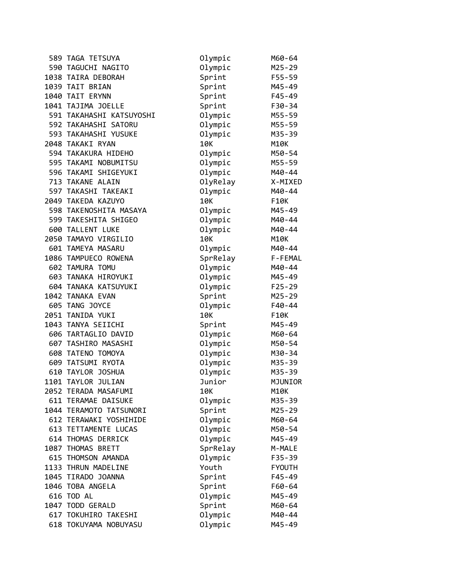| 590 TAGUCHI NAGITO<br>Olympic<br>$M25 - 29$<br>Sprint<br>1038 TAIRA DEBORAH<br>F55-59<br>1039 TAIT BRIAN<br>Sprint<br>M45-49<br>Sprint<br>1040 TAIT ERYNN<br>F45-49<br>1041 TAJIMA JOELLE<br>Sprint<br>F30-34<br>591 TAKAHASHI KATSUYOSHI<br>Olympic<br>M55-59<br>592 TAKAHASHI SATORU<br>Olympic<br>M55-59<br>Olympic<br>593 TAKAHASHI YUSUKE<br>M35-39<br>2048 TAKAKI RYAN<br>10K<br>M10K<br>594 TAKAKURA HIDEHO<br>Olympic<br>M50-54<br>595 TAKAMI NOBUMITSU<br>Olympic<br>M55-59<br>596 TAKAMI SHIGEYUKI<br>Olympic<br>M40-44<br>713 TAKANE ALAIN<br>OlyRelay<br>X-MIXED<br>597 TAKASHI TAKEAKI<br>Olympic<br>M40-44<br>10K<br>2049 TAKEDA KAZUYO<br>F10K<br>598 TAKENOSHITA MASAYA<br>Olympic<br>M45-49<br>599 TAKESHITA SHIGEO<br>Olympic<br>M40-44<br>600 TALLENT LUKE<br>Olympic<br>M40-44<br>2050 TAMAYO VIRGILIO<br>10K<br><b>M10K</b><br>601 TAMEYA MASARU<br>Olympic<br>M40-44<br>1086 TAMPUECO ROWENA<br>SprRelay<br>F-FEMAL<br>602 TAMURA TOMU<br>Olympic<br>M40-44<br>Olympic<br>603 TANAKA HIROYUKI<br>M45-49<br>604 TANAKA KATSUYUKI<br>Olympic<br>$F25 - 29$<br>1042 TANAKA EVAN<br>Sprint<br>M25-29<br>605 TANG JOYCE<br>Olympic<br>$F40 - 44$<br>2051 TANIDA YUKI<br>10K<br>F10K<br>1043 TANYA SEIICHI<br>M45-49<br>Sprint<br>606 TARTAGLIO DAVID<br>Olympic<br>M60-64<br>Olympic<br>607 TASHIRO MASASHI<br>M50-54<br>608 TATENO TOMOYA<br>Olympic<br>M30-34<br>609 TATSUMI RYOTA<br>Olympic<br>M35-39<br>610 TAYLOR JOSHUA<br>Olympic<br>M35-39<br>1101 TAYLOR JULIAN<br>Junior<br>MJUNIOR | 589 TAGA TETSUYA | Olympic | M60-64 |
|-----------------------------------------------------------------------------------------------------------------------------------------------------------------------------------------------------------------------------------------------------------------------------------------------------------------------------------------------------------------------------------------------------------------------------------------------------------------------------------------------------------------------------------------------------------------------------------------------------------------------------------------------------------------------------------------------------------------------------------------------------------------------------------------------------------------------------------------------------------------------------------------------------------------------------------------------------------------------------------------------------------------------------------------------------------------------------------------------------------------------------------------------------------------------------------------------------------------------------------------------------------------------------------------------------------------------------------------------------------------------------------------------------------------------------------------------------------------------------------------------------------------|------------------|---------|--------|
|                                                                                                                                                                                                                                                                                                                                                                                                                                                                                                                                                                                                                                                                                                                                                                                                                                                                                                                                                                                                                                                                                                                                                                                                                                                                                                                                                                                                                                                                                                                 |                  |         |        |
|                                                                                                                                                                                                                                                                                                                                                                                                                                                                                                                                                                                                                                                                                                                                                                                                                                                                                                                                                                                                                                                                                                                                                                                                                                                                                                                                                                                                                                                                                                                 |                  |         |        |
|                                                                                                                                                                                                                                                                                                                                                                                                                                                                                                                                                                                                                                                                                                                                                                                                                                                                                                                                                                                                                                                                                                                                                                                                                                                                                                                                                                                                                                                                                                                 |                  |         |        |
|                                                                                                                                                                                                                                                                                                                                                                                                                                                                                                                                                                                                                                                                                                                                                                                                                                                                                                                                                                                                                                                                                                                                                                                                                                                                                                                                                                                                                                                                                                                 |                  |         |        |
|                                                                                                                                                                                                                                                                                                                                                                                                                                                                                                                                                                                                                                                                                                                                                                                                                                                                                                                                                                                                                                                                                                                                                                                                                                                                                                                                                                                                                                                                                                                 |                  |         |        |
|                                                                                                                                                                                                                                                                                                                                                                                                                                                                                                                                                                                                                                                                                                                                                                                                                                                                                                                                                                                                                                                                                                                                                                                                                                                                                                                                                                                                                                                                                                                 |                  |         |        |
|                                                                                                                                                                                                                                                                                                                                                                                                                                                                                                                                                                                                                                                                                                                                                                                                                                                                                                                                                                                                                                                                                                                                                                                                                                                                                                                                                                                                                                                                                                                 |                  |         |        |
|                                                                                                                                                                                                                                                                                                                                                                                                                                                                                                                                                                                                                                                                                                                                                                                                                                                                                                                                                                                                                                                                                                                                                                                                                                                                                                                                                                                                                                                                                                                 |                  |         |        |
|                                                                                                                                                                                                                                                                                                                                                                                                                                                                                                                                                                                                                                                                                                                                                                                                                                                                                                                                                                                                                                                                                                                                                                                                                                                                                                                                                                                                                                                                                                                 |                  |         |        |
|                                                                                                                                                                                                                                                                                                                                                                                                                                                                                                                                                                                                                                                                                                                                                                                                                                                                                                                                                                                                                                                                                                                                                                                                                                                                                                                                                                                                                                                                                                                 |                  |         |        |
|                                                                                                                                                                                                                                                                                                                                                                                                                                                                                                                                                                                                                                                                                                                                                                                                                                                                                                                                                                                                                                                                                                                                                                                                                                                                                                                                                                                                                                                                                                                 |                  |         |        |
|                                                                                                                                                                                                                                                                                                                                                                                                                                                                                                                                                                                                                                                                                                                                                                                                                                                                                                                                                                                                                                                                                                                                                                                                                                                                                                                                                                                                                                                                                                                 |                  |         |        |
|                                                                                                                                                                                                                                                                                                                                                                                                                                                                                                                                                                                                                                                                                                                                                                                                                                                                                                                                                                                                                                                                                                                                                                                                                                                                                                                                                                                                                                                                                                                 |                  |         |        |
|                                                                                                                                                                                                                                                                                                                                                                                                                                                                                                                                                                                                                                                                                                                                                                                                                                                                                                                                                                                                                                                                                                                                                                                                                                                                                                                                                                                                                                                                                                                 |                  |         |        |
|                                                                                                                                                                                                                                                                                                                                                                                                                                                                                                                                                                                                                                                                                                                                                                                                                                                                                                                                                                                                                                                                                                                                                                                                                                                                                                                                                                                                                                                                                                                 |                  |         |        |
|                                                                                                                                                                                                                                                                                                                                                                                                                                                                                                                                                                                                                                                                                                                                                                                                                                                                                                                                                                                                                                                                                                                                                                                                                                                                                                                                                                                                                                                                                                                 |                  |         |        |
|                                                                                                                                                                                                                                                                                                                                                                                                                                                                                                                                                                                                                                                                                                                                                                                                                                                                                                                                                                                                                                                                                                                                                                                                                                                                                                                                                                                                                                                                                                                 |                  |         |        |
|                                                                                                                                                                                                                                                                                                                                                                                                                                                                                                                                                                                                                                                                                                                                                                                                                                                                                                                                                                                                                                                                                                                                                                                                                                                                                                                                                                                                                                                                                                                 |                  |         |        |
|                                                                                                                                                                                                                                                                                                                                                                                                                                                                                                                                                                                                                                                                                                                                                                                                                                                                                                                                                                                                                                                                                                                                                                                                                                                                                                                                                                                                                                                                                                                 |                  |         |        |
|                                                                                                                                                                                                                                                                                                                                                                                                                                                                                                                                                                                                                                                                                                                                                                                                                                                                                                                                                                                                                                                                                                                                                                                                                                                                                                                                                                                                                                                                                                                 |                  |         |        |
|                                                                                                                                                                                                                                                                                                                                                                                                                                                                                                                                                                                                                                                                                                                                                                                                                                                                                                                                                                                                                                                                                                                                                                                                                                                                                                                                                                                                                                                                                                                 |                  |         |        |
|                                                                                                                                                                                                                                                                                                                                                                                                                                                                                                                                                                                                                                                                                                                                                                                                                                                                                                                                                                                                                                                                                                                                                                                                                                                                                                                                                                                                                                                                                                                 |                  |         |        |
|                                                                                                                                                                                                                                                                                                                                                                                                                                                                                                                                                                                                                                                                                                                                                                                                                                                                                                                                                                                                                                                                                                                                                                                                                                                                                                                                                                                                                                                                                                                 |                  |         |        |
|                                                                                                                                                                                                                                                                                                                                                                                                                                                                                                                                                                                                                                                                                                                                                                                                                                                                                                                                                                                                                                                                                                                                                                                                                                                                                                                                                                                                                                                                                                                 |                  |         |        |
|                                                                                                                                                                                                                                                                                                                                                                                                                                                                                                                                                                                                                                                                                                                                                                                                                                                                                                                                                                                                                                                                                                                                                                                                                                                                                                                                                                                                                                                                                                                 |                  |         |        |
|                                                                                                                                                                                                                                                                                                                                                                                                                                                                                                                                                                                                                                                                                                                                                                                                                                                                                                                                                                                                                                                                                                                                                                                                                                                                                                                                                                                                                                                                                                                 |                  |         |        |
|                                                                                                                                                                                                                                                                                                                                                                                                                                                                                                                                                                                                                                                                                                                                                                                                                                                                                                                                                                                                                                                                                                                                                                                                                                                                                                                                                                                                                                                                                                                 |                  |         |        |
|                                                                                                                                                                                                                                                                                                                                                                                                                                                                                                                                                                                                                                                                                                                                                                                                                                                                                                                                                                                                                                                                                                                                                                                                                                                                                                                                                                                                                                                                                                                 |                  |         |        |
|                                                                                                                                                                                                                                                                                                                                                                                                                                                                                                                                                                                                                                                                                                                                                                                                                                                                                                                                                                                                                                                                                                                                                                                                                                                                                                                                                                                                                                                                                                                 |                  |         |        |
|                                                                                                                                                                                                                                                                                                                                                                                                                                                                                                                                                                                                                                                                                                                                                                                                                                                                                                                                                                                                                                                                                                                                                                                                                                                                                                                                                                                                                                                                                                                 |                  |         |        |
|                                                                                                                                                                                                                                                                                                                                                                                                                                                                                                                                                                                                                                                                                                                                                                                                                                                                                                                                                                                                                                                                                                                                                                                                                                                                                                                                                                                                                                                                                                                 |                  |         |        |
|                                                                                                                                                                                                                                                                                                                                                                                                                                                                                                                                                                                                                                                                                                                                                                                                                                                                                                                                                                                                                                                                                                                                                                                                                                                                                                                                                                                                                                                                                                                 |                  |         |        |
|                                                                                                                                                                                                                                                                                                                                                                                                                                                                                                                                                                                                                                                                                                                                                                                                                                                                                                                                                                                                                                                                                                                                                                                                                                                                                                                                                                                                                                                                                                                 |                  |         |        |
|                                                                                                                                                                                                                                                                                                                                                                                                                                                                                                                                                                                                                                                                                                                                                                                                                                                                                                                                                                                                                                                                                                                                                                                                                                                                                                                                                                                                                                                                                                                 |                  |         |        |
| 2052 TERADA MASAFUMI<br>10K<br>M10K                                                                                                                                                                                                                                                                                                                                                                                                                                                                                                                                                                                                                                                                                                                                                                                                                                                                                                                                                                                                                                                                                                                                                                                                                                                                                                                                                                                                                                                                             |                  |         |        |
| 611 TERAMAE DAISUKE<br>Olympic<br>M35-39                                                                                                                                                                                                                                                                                                                                                                                                                                                                                                                                                                                                                                                                                                                                                                                                                                                                                                                                                                                                                                                                                                                                                                                                                                                                                                                                                                                                                                                                        |                  |         |        |
| Sprint<br>1044 TERAMOTO TATSUNORI<br>M25-29                                                                                                                                                                                                                                                                                                                                                                                                                                                                                                                                                                                                                                                                                                                                                                                                                                                                                                                                                                                                                                                                                                                                                                                                                                                                                                                                                                                                                                                                     |                  |         |        |
| Olympic<br>612 TERAWAKI YOSHIHIDE<br>M60-64                                                                                                                                                                                                                                                                                                                                                                                                                                                                                                                                                                                                                                                                                                                                                                                                                                                                                                                                                                                                                                                                                                                                                                                                                                                                                                                                                                                                                                                                     |                  |         |        |
| Olympic<br>613 TETTAMENTE LUCAS<br>M50-54                                                                                                                                                                                                                                                                                                                                                                                                                                                                                                                                                                                                                                                                                                                                                                                                                                                                                                                                                                                                                                                                                                                                                                                                                                                                                                                                                                                                                                                                       |                  |         |        |
| Olympic<br>614 THOMAS DERRICK<br>M45-49                                                                                                                                                                                                                                                                                                                                                                                                                                                                                                                                                                                                                                                                                                                                                                                                                                                                                                                                                                                                                                                                                                                                                                                                                                                                                                                                                                                                                                                                         |                  |         |        |
| SprRelay<br>1087 THOMAS BRETT<br>M-MALE                                                                                                                                                                                                                                                                                                                                                                                                                                                                                                                                                                                                                                                                                                                                                                                                                                                                                                                                                                                                                                                                                                                                                                                                                                                                                                                                                                                                                                                                         |                  |         |        |
| Olympic<br>615 THOMSON AMANDA<br>F35-39                                                                                                                                                                                                                                                                                                                                                                                                                                                                                                                                                                                                                                                                                                                                                                                                                                                                                                                                                                                                                                                                                                                                                                                                                                                                                                                                                                                                                                                                         |                  |         |        |
| Youth<br>1133 THRUN MADELINE<br><b>FYOUTH</b>                                                                                                                                                                                                                                                                                                                                                                                                                                                                                                                                                                                                                                                                                                                                                                                                                                                                                                                                                                                                                                                                                                                                                                                                                                                                                                                                                                                                                                                                   |                  |         |        |
| Sprint<br>1045 TIRADO JOANNA<br>$F45 - 49$                                                                                                                                                                                                                                                                                                                                                                                                                                                                                                                                                                                                                                                                                                                                                                                                                                                                                                                                                                                                                                                                                                                                                                                                                                                                                                                                                                                                                                                                      |                  |         |        |
| 1046 TOBA ANGELA<br>Sprint<br>F60-64                                                                                                                                                                                                                                                                                                                                                                                                                                                                                                                                                                                                                                                                                                                                                                                                                                                                                                                                                                                                                                                                                                                                                                                                                                                                                                                                                                                                                                                                            |                  |         |        |
| 616 TOD AL<br>Olympic<br>M45-49                                                                                                                                                                                                                                                                                                                                                                                                                                                                                                                                                                                                                                                                                                                                                                                                                                                                                                                                                                                                                                                                                                                                                                                                                                                                                                                                                                                                                                                                                 |                  |         |        |
| Sprint<br>1047 TODD GERALD<br>M60-64                                                                                                                                                                                                                                                                                                                                                                                                                                                                                                                                                                                                                                                                                                                                                                                                                                                                                                                                                                                                                                                                                                                                                                                                                                                                                                                                                                                                                                                                            |                  |         |        |
| 617 TOKUHIRO TAKESHI<br>M40-44                                                                                                                                                                                                                                                                                                                                                                                                                                                                                                                                                                                                                                                                                                                                                                                                                                                                                                                                                                                                                                                                                                                                                                                                                                                                                                                                                                                                                                                                                  |                  |         |        |
| Olympic<br>618 TOKUYAMA NOBUYASU<br>M45-49                                                                                                                                                                                                                                                                                                                                                                                                                                                                                                                                                                                                                                                                                                                                                                                                                                                                                                                                                                                                                                                                                                                                                                                                                                                                                                                                                                                                                                                                      |                  | Olympic |        |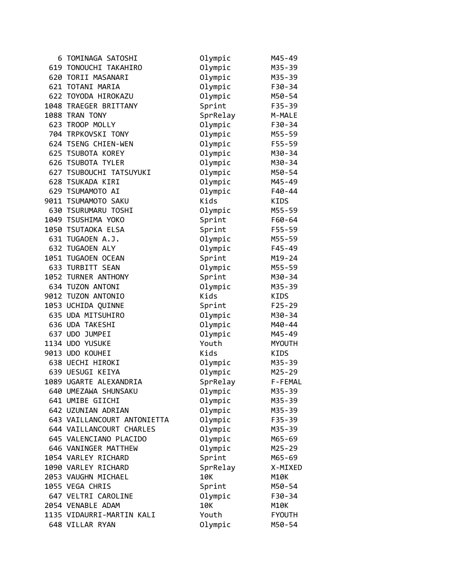| 6 TOMINAGA SATOSHI          | Olympic  | M45-49        |
|-----------------------------|----------|---------------|
| 619 TONOUCHI TAKAHIRO       | Olympic  | M35-39        |
| 620 TORII MASANARI          | Olympic  | M35-39        |
| 621 TOTANI MARIA            | Olympic  | F30-34        |
| 622 TOYODA HIROKAZU         | Olympic  | M50-54        |
| 1048 TRAEGER BRITTANY       | Sprint   | F35-39        |
| 1088 TRAN TONY              | SprRelay | M-MALE        |
| 623 TROOP MOLLY             | Olympic  | F30-34        |
| 704 TRPKOVSKI TONY          | Olympic  | M55-59        |
| 624 TSENG CHIEN-WEN         | Olympic  | $F55 - 59$    |
| 625 TSUBOTA KOREY           | Olympic  | M30-34        |
| 626 TSUBOTA TYLER           | Olympic  | M30-34        |
| 627 TSUBOUCHI TATSUYUKI     | Olympic  | M50-54        |
| 628 TSUKADA KIRI            | Olympic  | M45-49        |
| 629 TSUMAMOTO AI            | Olympic  | $F40 - 44$    |
| 9011 TSUMAMOTO SAKU         | Kids     | <b>KIDS</b>   |
| 630 TSURUMARU TOSHI         | Olympic  | M55-59        |
| 1049 TSUSHIMA YOKO          | Sprint   | F60-64        |
| 1050 TSUTAOKA ELSA          | Sprint   | F55-59        |
| 631 TUGAOEN A.J.            | Olympic  | M55-59        |
| 632 TUGAOEN ALY             | Olympic  | $F45 - 49$    |
| 1051 TUGAOEN OCEAN          | Sprint   | $M19 - 24$    |
| 633 TURBITT SEAN            | Olympic  | M55-59        |
| 1052 TURNER ANTHONY         | Sprint   | M30-34        |
| 634 TUZON ANTONI            | Olympic  | M35-39        |
| 9012 TUZON ANTONIO          | Kids     | KIDS          |
| 1053 UCHIDA QUINNE          | Sprint   | $F25 - 29$    |
| 635 UDA MITSUHIRO           | Olympic  | M30-34        |
| 636 UDA TAKESHI             | Olympic  | M40-44        |
| 637 UDO JUMPEI              | Olympic  | M45-49        |
| 1134 UDO YUSUKE             | Youth    | <b>MYOUTH</b> |
| 9013 UDO KOUHEI             | Kids     | KIDS          |
| 638 UECHI HIROKI            | Olympic  | M35-39        |
| 639 UESUGI KEIYA            | Olympic  | M25-29        |
| 1089 UGARTE ALEXANDRIA      | SprRelay | F-FEMAL       |
| 640 UMEZAWA SHUNSAKU        | Olympic  | M35-39        |
| 641 UMIBE GIICHI            | Olympic  | M35-39        |
| 642 UZUNIAN ADRIAN          | Olympic  | M35-39        |
| 643 VAILLANCOURT ANTONIETTA | Olympic  | F35-39        |
| 644 VAILLANCOURT CHARLES    | Olympic  | M35-39        |
| 645 VALENCIANO PLACIDO      | Olympic  | M65-69        |
| 646 VANINGER MATTHEW        | Olympic  | M25-29        |
| 1054 VARLEY RICHARD         | Sprint   | M65-69        |
| 1090 VARLEY RICHARD         | SprRelay | X-MIXED       |
| 2053 VAUGHN MICHAEL         | 10K      | M10K          |
| 1055 VEGA CHRIS             | Sprint   | M50-54        |
| 647 VELTRI CAROLINE         | Olympic  | F30-34        |
| 2054 VENABLE ADAM           | 10K      | M10K          |
| 1135 VIDAURRI-MARTIN KALI   | Youth    | <b>FYOUTH</b> |
| 648 VILLAR RYAN             | Olympic  | M50-54        |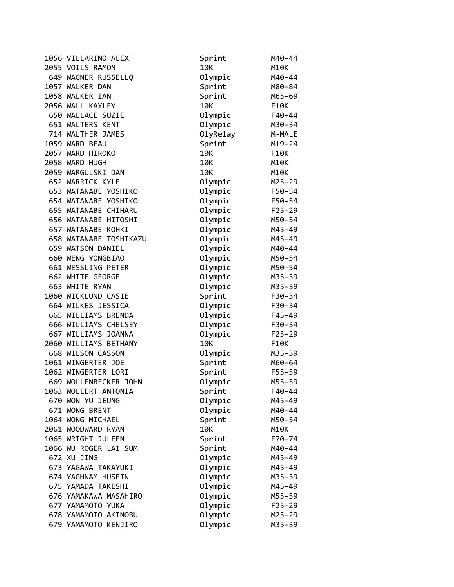| 1056 VILLARINO ALEX    | Sprint   | M40-44     |
|------------------------|----------|------------|
| 2055 VOILS RAMON       | 10K      | M10K       |
| 649 WAGNER RUSSELLQ    | Olympic  | M40-44     |
| 1057 WALKER DAN        | Sprint   | M80-84     |
| 1058 WALKER IAN        | Sprint   | M65-69     |
| 2056 WALL KAYLEY       | 10K      | F10K       |
| 650 WALLACE SUZIE      | Olympic  | F40-44     |
| 651 WALTERS KENT       | Olympic  | M30-34     |
| 714 WALTHER JAMES      | OlyRelay | M-MALE     |
| 1059 WARD BEAU         | Sprint   | $M19 - 24$ |
| 2057 WARD HIROKO       | 10K      | F10K       |
| 2058 WARD HUGH         | 10K      | M10K       |
| 2059 WARGULSKI DAN     | 10K      | M10K       |
| 652 WARRICK KYLE       | Olympic  | $M25 - 29$ |
| 653 WATANABE YOSHIKO   | Olympic  | F50-54     |
| 654 WATANABE YOSHIKO   | Olympic  | F50-54     |
| 655 WATANABE CHIHARU   | Olympic  | $F25 - 29$ |
| 656 WATANABE HITOSHI   | Olympic  | M50-54     |
| 657 WATANABE KOHKI     | Olympic  | M45-49     |
| 658 WATANABE TOSHIKAZU | Olympic  | M45-49     |
| 659 WATSON DANIEL      | Olympic  | M40-44     |
| 660 WENG YONGBIAO      | Olympic  | M50-54     |
| 661 WESSLING PETER     | Olympic  | M50-54     |
| 662 WHITE GEORGE       | Olympic  | M35-39     |
| 663 WHITE RYAN         | Olympic  | M35-39     |
| 1060 WICKLUND CASIE    | Sprint   | F30-34     |
| 664 WILKES JESSICA     | Olympic  | F30-34     |
| 665 WILLIAMS BRENDA    | Olympic  | F45-49     |
| 666 WILLIAMS CHELSEY   | Olympic  | F30-34     |
| 667 WILLIAMS JOANNA    | Olympic  | $F25 - 29$ |
| 2060 WILLIAMS BETHANY  | 10K      | F10K       |
| 668 WILSON CASSON      | Olympic  | M35-39     |
| 1061 WINGERTER JOE     | Sprint   | M60-64     |
| 1062 WINGERTER LORI    | Sprint   | $F55 - 59$ |
| 669 WOLLENBECKER JOHN  | Olympic  | M55-59     |
| 1063 WOLLERT ANTONIA   | Sprint   | F40-44     |
| 670 WON YU JEUNG       | Olympic  | M45-49     |
| 671 WONG BRENT         | Olympic  | M40-44     |
| 1064 WONG MICHAEL      | Sprint   | M50-54     |
| 2061 WOODWARD RYAN     | 10K      | M10K       |
| 1065 WRIGHT JULEEN     | Sprint   | F70-74     |
| 1066 WU ROGER LAI SUM  | Sprint   | M40-44     |
| 672 XU JING            | Olympic  | M45-49     |
| 673 YAGAWA TAKAYUKI    | Olympic  | M45-49     |
| 674 YAGHNAM HUSEIN     | Olympic  | M35-39     |
| 675 YAMADA TAKESHI     | Olympic  | M45-49     |
| 676 YAMAKAWA MASAHIRO  | Olympic  | M55-59     |
| 677 YAMAMOTO YUKA      | Olympic  | $F25 - 29$ |
| 678 YAMAMOTO AKINOBU   | Olympic  | M25-29     |
| 679 YAMAMOTO KENJIRO   | Olympic  | M35-39     |